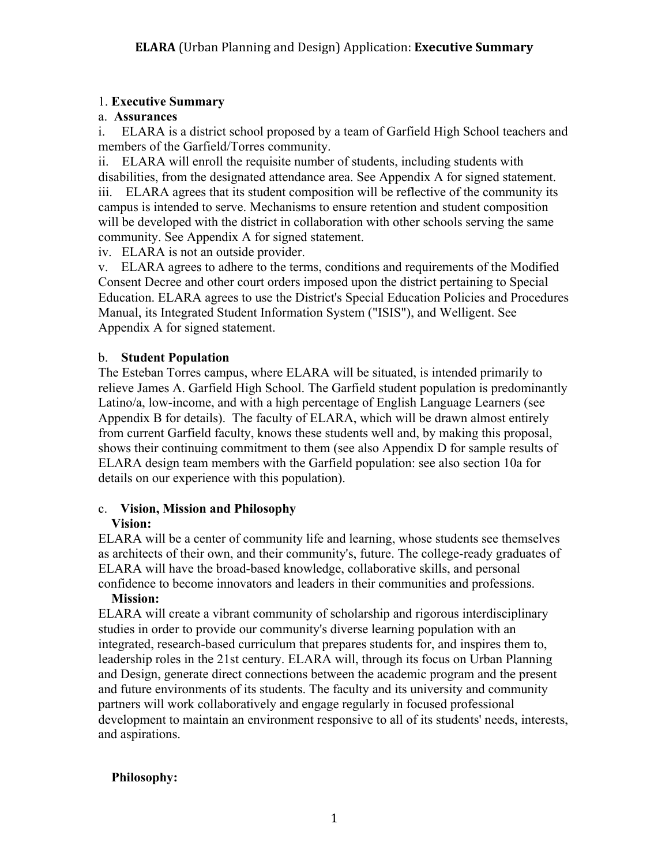### 1. **Executive Summary**

#### a. **Assurances**

i. ELARA is a district school proposed by a team of Garfield High School teachers and members of the Garfield/Torres community.

ii. ELARA will enroll the requisite number of students, including students with disabilities, from the designated attendance area. See Appendix A for signed statement. iii. ELARA agrees that its student composition will be reflective of the community its campus is intended to serve. Mechanisms to ensure retention and student composition will be developed with the district in collaboration with other schools serving the same community. See Appendix A for signed statement.

iv. ELARA is not an outside provider.

v. ELARA agrees to adhere to the terms, conditions and requirements of the Modified Consent Decree and other court orders imposed upon the district pertaining to Special Education. ELARA agrees to use the District's Special Education Policies and Procedures Manual, its Integrated Student Information System ("ISIS"), and Welligent. See Appendix A for signed statement.

### b. **Student Population**

The Esteban Torres campus, where ELARA will be situated, is intended primarily to relieve James A. Garfield High School. The Garfield student population is predominantly Latino/a, low-income, and with a high percentage of English Language Learners (see Appendix B for details). The faculty of ELARA, which will be drawn almost entirely from current Garfield faculty, knows these students well and, by making this proposal, shows their continuing commitment to them (see also Appendix D for sample results of ELARA design team members with the Garfield population: see also section 10a for details on our experience with this population).

#### c. **Vision, Mission and Philosophy Vision:**

ELARA will be a center of community life and learning, whose students see themselves as architects of their own, and their community's, future. The college-ready graduates of ELARA will have the broad-based knowledge, collaborative skills, and personal confidence to become innovators and leaders in their communities and professions.

#### **Mission:**

ELARA will create a vibrant community of scholarship and rigorous interdisciplinary studies in order to provide our community's diverse learning population with an integrated, research-based curriculum that prepares students for, and inspires them to, leadership roles in the 21st century. ELARA will, through its focus on Urban Planning and Design, generate direct connections between the academic program and the present and future environments of its students. The faculty and its university and community partners will work collaboratively and engage regularly in focused professional development to maintain an environment responsive to all of its students' needs, interests, and aspirations.

### **Philosophy:**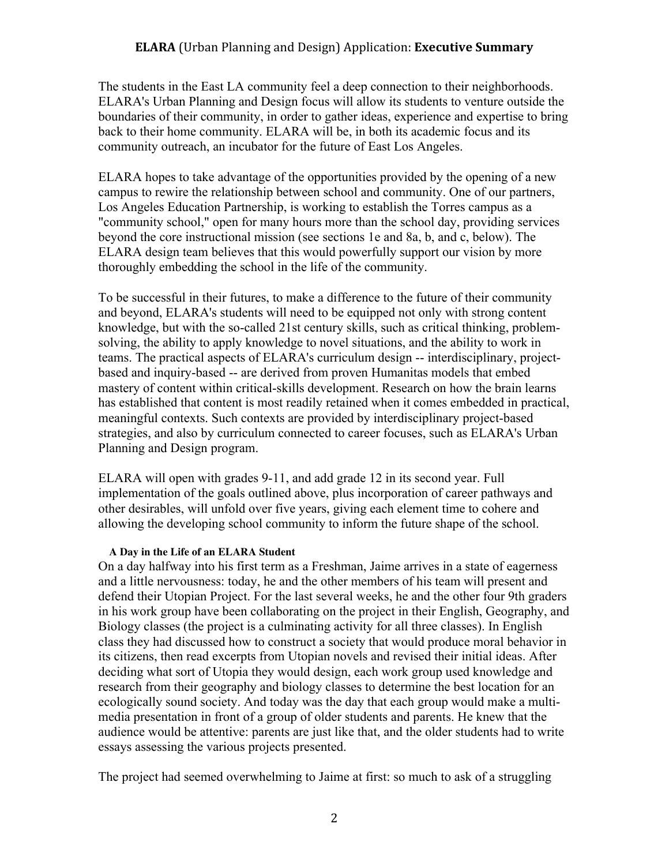### **ELARA** (Urban Planning and Design) Application: **Executive Summary**

The students in the East LA community feel a deep connection to their neighborhoods. ELARA's Urban Planning and Design focus will allow its students to venture outside the boundaries of their community, in order to gather ideas, experience and expertise to bring back to their home community. ELARA will be, in both its academic focus and its community outreach, an incubator for the future of East Los Angeles.

ELARA hopes to take advantage of the opportunities provided by the opening of a new campus to rewire the relationship between school and community. One of our partners, Los Angeles Education Partnership, is working to establish the Torres campus as a "community school," open for many hours more than the school day, providing services beyond the core instructional mission (see sections 1e and 8a, b, and c, below). The ELARA design team believes that this would powerfully support our vision by more thoroughly embedding the school in the life of the community.

To be successful in their futures, to make a difference to the future of their community and beyond, ELARA's students will need to be equipped not only with strong content knowledge, but with the so-called 21st century skills, such as critical thinking, problemsolving, the ability to apply knowledge to novel situations, and the ability to work in teams. The practical aspects of ELARA's curriculum design -- interdisciplinary, projectbased and inquiry-based -- are derived from proven Humanitas models that embed mastery of content within critical-skills development. Research on how the brain learns has established that content is most readily retained when it comes embedded in practical, meaningful contexts. Such contexts are provided by interdisciplinary project-based strategies, and also by curriculum connected to career focuses, such as ELARA's Urban Planning and Design program.

ELARA will open with grades 9-11, and add grade 12 in its second year. Full implementation of the goals outlined above, plus incorporation of career pathways and other desirables, will unfold over five years, giving each element time to cohere and allowing the developing school community to inform the future shape of the school.

#### **A Day in the Life of an ELARA Student**

On a day halfway into his first term as a Freshman, Jaime arrives in a state of eagerness and a little nervousness: today, he and the other members of his team will present and defend their Utopian Project. For the last several weeks, he and the other four 9th graders in his work group have been collaborating on the project in their English, Geography, and Biology classes (the project is a culminating activity for all three classes). In English class they had discussed how to construct a society that would produce moral behavior in its citizens, then read excerpts from Utopian novels and revised their initial ideas. After deciding what sort of Utopia they would design, each work group used knowledge and research from their geography and biology classes to determine the best location for an ecologically sound society. And today was the day that each group would make a multimedia presentation in front of a group of older students and parents. He knew that the audience would be attentive: parents are just like that, and the older students had to write essays assessing the various projects presented.

The project had seemed overwhelming to Jaime at first: so much to ask of a struggling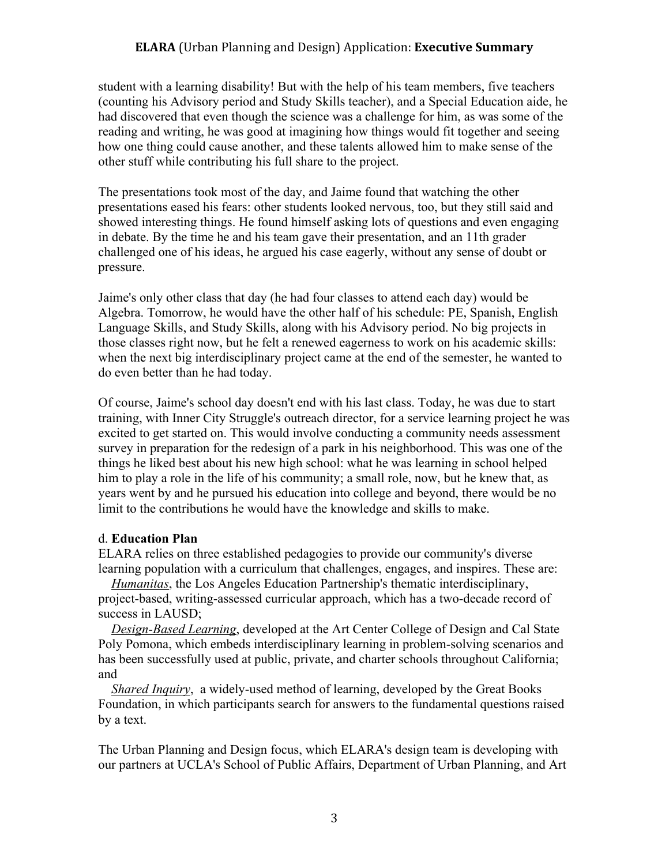#### **ELARA** (Urban Planning and Design) Application: **Executive Summary**

student with a learning disability! But with the help of his team members, five teachers (counting his Advisory period and Study Skills teacher), and a Special Education aide, he had discovered that even though the science was a challenge for him, as was some of the reading and writing, he was good at imagining how things would fit together and seeing how one thing could cause another, and these talents allowed him to make sense of the other stuff while contributing his full share to the project.

The presentations took most of the day, and Jaime found that watching the other presentations eased his fears: other students looked nervous, too, but they still said and showed interesting things. He found himself asking lots of questions and even engaging in debate. By the time he and his team gave their presentation, and an 11th grader challenged one of his ideas, he argued his case eagerly, without any sense of doubt or pressure.

Jaime's only other class that day (he had four classes to attend each day) would be Algebra. Tomorrow, he would have the other half of his schedule: PE, Spanish, English Language Skills, and Study Skills, along with his Advisory period. No big projects in those classes right now, but he felt a renewed eagerness to work on his academic skills: when the next big interdisciplinary project came at the end of the semester, he wanted to do even better than he had today.

Of course, Jaime's school day doesn't end with his last class. Today, he was due to start training, with Inner City Struggle's outreach director, for a service learning project he was excited to get started on. This would involve conducting a community needs assessment survey in preparation for the redesign of a park in his neighborhood. This was one of the things he liked best about his new high school: what he was learning in school helped him to play a role in the life of his community; a small role, now, but he knew that, as years went by and he pursued his education into college and beyond, there would be no limit to the contributions he would have the knowledge and skills to make.

#### d. **Education Plan**

ELARA relies on three established pedagogies to provide our community's diverse learning population with a curriculum that challenges, engages, and inspires. These are:

 *Humanitas*, the Los Angeles Education Partnership's thematic interdisciplinary, project-based, writing-assessed curricular approach, which has a two-decade record of success in LAUSD;

 *Design-Based Learning*, developed at the Art Center College of Design and Cal State Poly Pomona, which embeds interdisciplinary learning in problem-solving scenarios and has been successfully used at public, private, and charter schools throughout California; and

 *Shared Inquiry*, a widely-used method of learning, developed by the Great Books Foundation, in which participants search for answers to the fundamental questions raised by a text.

The Urban Planning and Design focus, which ELARA's design team is developing with our partners at UCLA's School of Public Affairs, Department of Urban Planning, and Art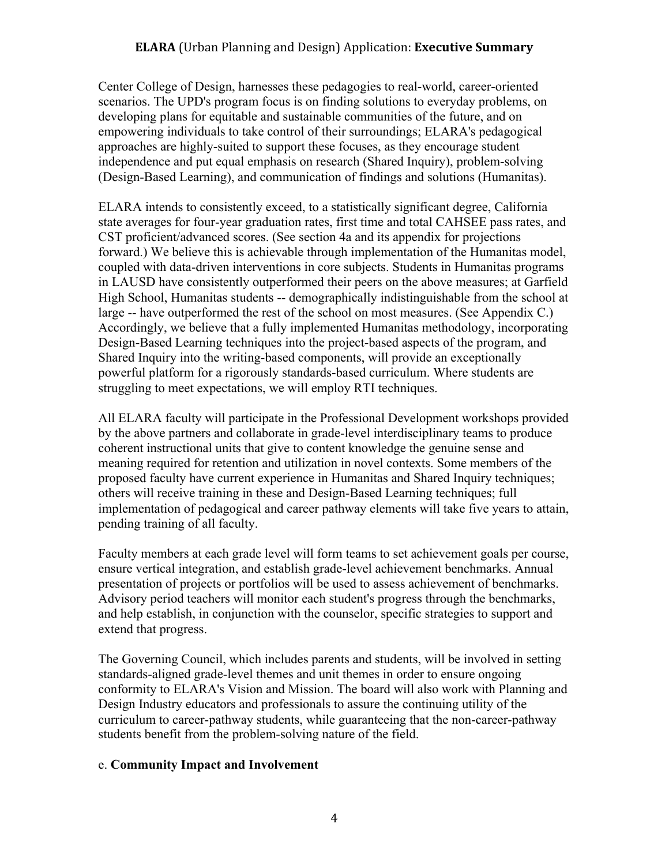### **ELARA** (Urban Planning and Design) Application: **Executive Summary**

Center College of Design, harnesses these pedagogies to real-world, career-oriented scenarios. The UPD's program focus is on finding solutions to everyday problems, on developing plans for equitable and sustainable communities of the future, and on empowering individuals to take control of their surroundings; ELARA's pedagogical approaches are highly-suited to support these focuses, as they encourage student independence and put equal emphasis on research (Shared Inquiry), problem-solving (Design-Based Learning), and communication of findings and solutions (Humanitas).

ELARA intends to consistently exceed, to a statistically significant degree, California state averages for four-year graduation rates, first time and total CAHSEE pass rates, and CST proficient/advanced scores. (See section 4a and its appendix for projections forward.) We believe this is achievable through implementation of the Humanitas model, coupled with data-driven interventions in core subjects. Students in Humanitas programs in LAUSD have consistently outperformed their peers on the above measures; at Garfield High School, Humanitas students -- demographically indistinguishable from the school at large -- have outperformed the rest of the school on most measures. (See Appendix C.) Accordingly, we believe that a fully implemented Humanitas methodology, incorporating Design-Based Learning techniques into the project-based aspects of the program, and Shared Inquiry into the writing-based components, will provide an exceptionally powerful platform for a rigorously standards-based curriculum. Where students are struggling to meet expectations, we will employ RTI techniques.

All ELARA faculty will participate in the Professional Development workshops provided by the above partners and collaborate in grade-level interdisciplinary teams to produce coherent instructional units that give to content knowledge the genuine sense and meaning required for retention and utilization in novel contexts. Some members of the proposed faculty have current experience in Humanitas and Shared Inquiry techniques; others will receive training in these and Design-Based Learning techniques; full implementation of pedagogical and career pathway elements will take five years to attain, pending training of all faculty.

Faculty members at each grade level will form teams to set achievement goals per course, ensure vertical integration, and establish grade-level achievement benchmarks. Annual presentation of projects or portfolios will be used to assess achievement of benchmarks. Advisory period teachers will monitor each student's progress through the benchmarks, and help establish, in conjunction with the counselor, specific strategies to support and extend that progress.

The Governing Council, which includes parents and students, will be involved in setting standards-aligned grade-level themes and unit themes in order to ensure ongoing conformity to ELARA's Vision and Mission. The board will also work with Planning and Design Industry educators and professionals to assure the continuing utility of the curriculum to career-pathway students, while guaranteeing that the non-career-pathway students benefit from the problem-solving nature of the field.

#### e. **Community Impact and Involvement**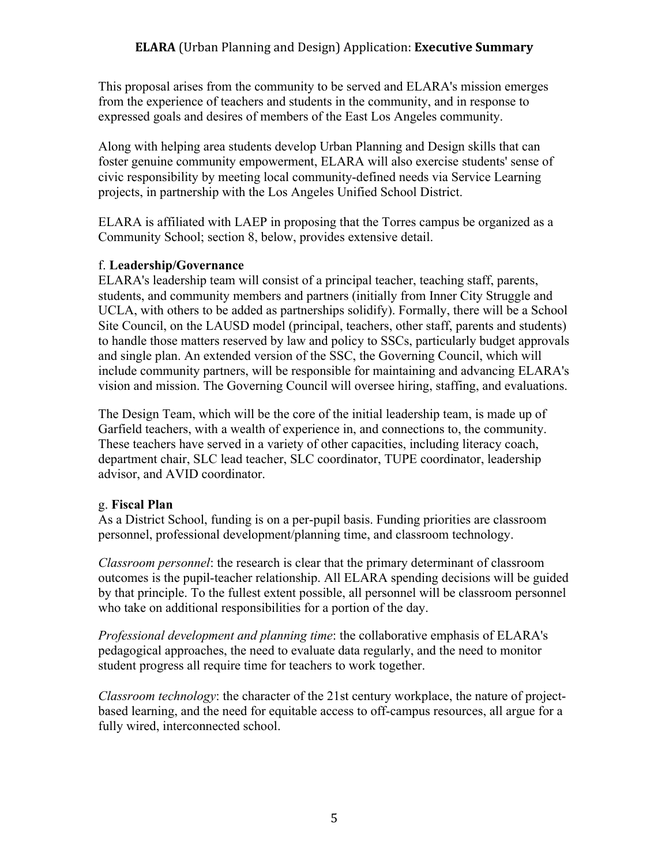This proposal arises from the community to be served and ELARA's mission emerges from the experience of teachers and students in the community, and in response to expressed goals and desires of members of the East Los Angeles community.

Along with helping area students develop Urban Planning and Design skills that can foster genuine community empowerment, ELARA will also exercise students' sense of civic responsibility by meeting local community-defined needs via Service Learning projects, in partnership with the Los Angeles Unified School District.

ELARA is affiliated with LAEP in proposing that the Torres campus be organized as a Community School; section 8, below, provides extensive detail.

### f. **Leadership/Governance**

ELARA's leadership team will consist of a principal teacher, teaching staff, parents, students, and community members and partners (initially from Inner City Struggle and UCLA, with others to be added as partnerships solidify). Formally, there will be a School Site Council, on the LAUSD model (principal, teachers, other staff, parents and students) to handle those matters reserved by law and policy to SSCs, particularly budget approvals and single plan. An extended version of the SSC, the Governing Council, which will include community partners, will be responsible for maintaining and advancing ELARA's vision and mission. The Governing Council will oversee hiring, staffing, and evaluations.

The Design Team, which will be the core of the initial leadership team, is made up of Garfield teachers, with a wealth of experience in, and connections to, the community. These teachers have served in a variety of other capacities, including literacy coach, department chair, SLC lead teacher, SLC coordinator, TUPE coordinator, leadership advisor, and AVID coordinator.

## g. **Fiscal Plan**

As a District School, funding is on a per-pupil basis. Funding priorities are classroom personnel, professional development/planning time, and classroom technology.

*Classroom personnel*: the research is clear that the primary determinant of classroom outcomes is the pupil-teacher relationship. All ELARA spending decisions will be guided by that principle. To the fullest extent possible, all personnel will be classroom personnel who take on additional responsibilities for a portion of the day.

*Professional development and planning time*: the collaborative emphasis of ELARA's pedagogical approaches, the need to evaluate data regularly, and the need to monitor student progress all require time for teachers to work together.

*Classroom technology*: the character of the 21st century workplace, the nature of projectbased learning, and the need for equitable access to off-campus resources, all argue for a fully wired, interconnected school.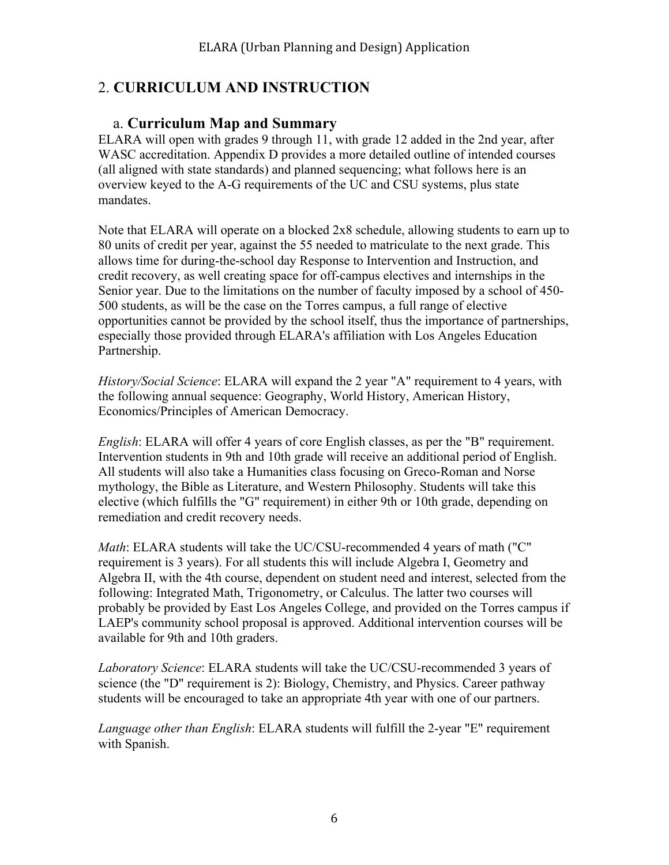# 2. **CURRICULUM AND INSTRUCTION**

## a. **Curriculum Map and Summary**

ELARA will open with grades 9 through 11, with grade 12 added in the 2nd year, after WASC accreditation. Appendix D provides a more detailed outline of intended courses (all aligned with state standards) and planned sequencing; what follows here is an overview keyed to the A-G requirements of the UC and CSU systems, plus state mandates.

Note that ELARA will operate on a blocked 2x8 schedule, allowing students to earn up to 80 units of credit per year, against the 55 needed to matriculate to the next grade. This allows time for during-the-school day Response to Intervention and Instruction, and credit recovery, as well creating space for off-campus electives and internships in the Senior year. Due to the limitations on the number of faculty imposed by a school of 450- 500 students, as will be the case on the Torres campus, a full range of elective opportunities cannot be provided by the school itself, thus the importance of partnerships, especially those provided through ELARA's affiliation with Los Angeles Education Partnership.

*History/Social Science*: ELARA will expand the 2 year "A" requirement to 4 years, with the following annual sequence: Geography, World History, American History, Economics/Principles of American Democracy.

*English*: ELARA will offer 4 years of core English classes, as per the "B" requirement. Intervention students in 9th and 10th grade will receive an additional period of English. All students will also take a Humanities class focusing on Greco-Roman and Norse mythology, the Bible as Literature, and Western Philosophy. Students will take this elective (which fulfills the "G" requirement) in either 9th or 10th grade, depending on remediation and credit recovery needs.

*Math*: ELARA students will take the UC/CSU-recommended 4 years of math ("C" requirement is 3 years). For all students this will include Algebra I, Geometry and Algebra II, with the 4th course, dependent on student need and interest, selected from the following: Integrated Math, Trigonometry, or Calculus. The latter two courses will probably be provided by East Los Angeles College, and provided on the Torres campus if LAEP's community school proposal is approved. Additional intervention courses will be available for 9th and 10th graders.

*Laboratory Science*: ELARA students will take the UC/CSU-recommended 3 years of science (the "D" requirement is 2): Biology, Chemistry, and Physics. Career pathway students will be encouraged to take an appropriate 4th year with one of our partners.

*Language other than English*: ELARA students will fulfill the 2-year "E" requirement with Spanish.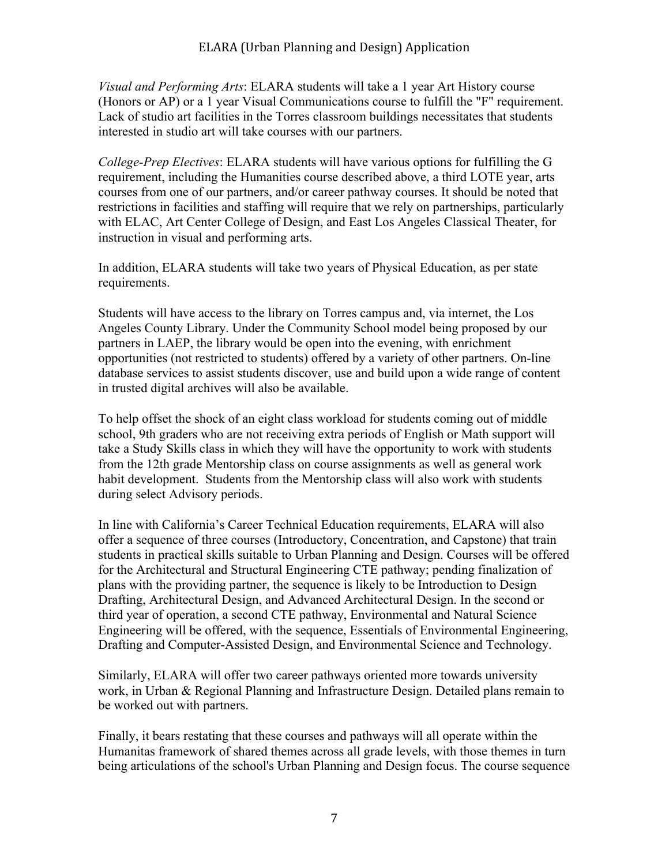*Visual and Performing Arts*: ELARA students will take a 1 year Art History course (Honors or AP) or a 1 year Visual Communications course to fulfill the "F" requirement. Lack of studio art facilities in the Torres classroom buildings necessitates that students interested in studio art will take courses with our partners.

*College-Prep Electives*: ELARA students will have various options for fulfilling the G requirement, including the Humanities course described above, a third LOTE year, arts courses from one of our partners, and/or career pathway courses. It should be noted that restrictions in facilities and staffing will require that we rely on partnerships, particularly with ELAC, Art Center College of Design, and East Los Angeles Classical Theater, for instruction in visual and performing arts.

In addition, ELARA students will take two years of Physical Education, as per state requirements.

Students will have access to the library on Torres campus and, via internet, the Los Angeles County Library. Under the Community School model being proposed by our partners in LAEP, the library would be open into the evening, with enrichment opportunities (not restricted to students) offered by a variety of other partners. On-line database services to assist students discover, use and build upon a wide range of content in trusted digital archives will also be available.

To help offset the shock of an eight class workload for students coming out of middle school, 9th graders who are not receiving extra periods of English or Math support will take a Study Skills class in which they will have the opportunity to work with students from the 12th grade Mentorship class on course assignments as well as general work habit development. Students from the Mentorship class will also work with students during select Advisory periods.

In line with California's Career Technical Education requirements, ELARA will also offer a sequence of three courses (Introductory, Concentration, and Capstone) that train students in practical skills suitable to Urban Planning and Design. Courses will be offered for the Architectural and Structural Engineering CTE pathway; pending finalization of plans with the providing partner, the sequence is likely to be Introduction to Design Drafting, Architectural Design, and Advanced Architectural Design. In the second or third year of operation, a second CTE pathway, Environmental and Natural Science Engineering will be offered, with the sequence, Essentials of Environmental Engineering, Drafting and Computer-Assisted Design, and Environmental Science and Technology.

Similarly, ELARA will offer two career pathways oriented more towards university work, in Urban & Regional Planning and Infrastructure Design. Detailed plans remain to be worked out with partners.

Finally, it bears restating that these courses and pathways will all operate within the Humanitas framework of shared themes across all grade levels, with those themes in turn being articulations of the school's Urban Planning and Design focus. The course sequence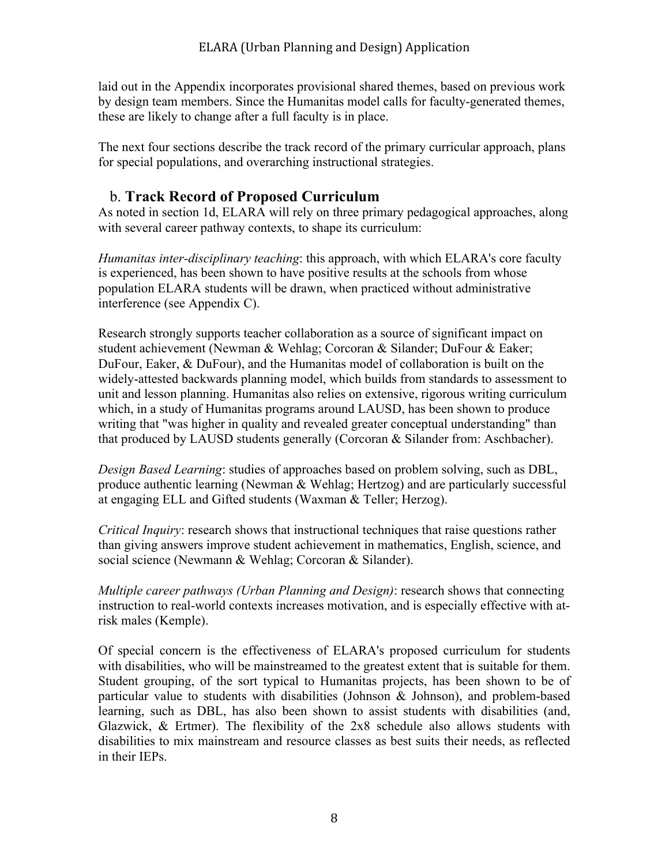laid out in the Appendix incorporates provisional shared themes, based on previous work by design team members. Since the Humanitas model calls for faculty-generated themes, these are likely to change after a full faculty is in place.

The next four sections describe the track record of the primary curricular approach, plans for special populations, and overarching instructional strategies.

## b. **Track Record of Proposed Curriculum**

As noted in section 1d, ELARA will rely on three primary pedagogical approaches, along with several career pathway contexts, to shape its curriculum:

*Humanitas inter-disciplinary teaching*: this approach, with which ELARA's core faculty is experienced, has been shown to have positive results at the schools from whose population ELARA students will be drawn, when practiced without administrative interference (see Appendix C).

Research strongly supports teacher collaboration as a source of significant impact on student achievement (Newman & Wehlag; Corcoran & Silander; DuFour & Eaker; DuFour, Eaker, & DuFour), and the Humanitas model of collaboration is built on the widely-attested backwards planning model, which builds from standards to assessment to unit and lesson planning. Humanitas also relies on extensive, rigorous writing curriculum which, in a study of Humanitas programs around LAUSD, has been shown to produce writing that "was higher in quality and revealed greater conceptual understanding" than that produced by LAUSD students generally (Corcoran & Silander from: Aschbacher).

*Design Based Learning*: studies of approaches based on problem solving, such as DBL, produce authentic learning (Newman & Wehlag; Hertzog) and are particularly successful at engaging ELL and Gifted students (Waxman & Teller; Herzog).

*Critical Inquiry*: research shows that instructional techniques that raise questions rather than giving answers improve student achievement in mathematics, English, science, and social science (Newmann & Wehlag; Corcoran & Silander).

*Multiple career pathways (Urban Planning and Design)*: research shows that connecting instruction to real-world contexts increases motivation, and is especially effective with atrisk males (Kemple).

Of special concern is the effectiveness of ELARA's proposed curriculum for students with disabilities, who will be mainstreamed to the greatest extent that is suitable for them. Student grouping, of the sort typical to Humanitas projects, has been shown to be of particular value to students with disabilities (Johnson & Johnson), and problem-based learning, such as DBL, has also been shown to assist students with disabilities (and, Glazwick, & Ertmer). The flexibility of the 2x8 schedule also allows students with disabilities to mix mainstream and resource classes as best suits their needs, as reflected in their IEPs.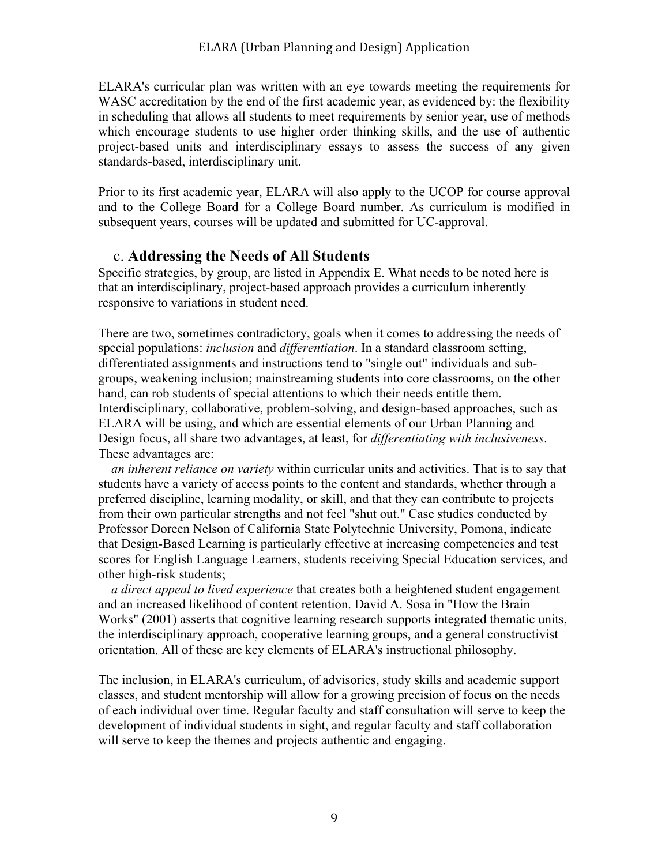ELARA's curricular plan was written with an eye towards meeting the requirements for WASC accreditation by the end of the first academic year, as evidenced by: the flexibility in scheduling that allows all students to meet requirements by senior year, use of methods which encourage students to use higher order thinking skills, and the use of authentic project-based units and interdisciplinary essays to assess the success of any given standards-based, interdisciplinary unit.

Prior to its first academic year, ELARA will also apply to the UCOP for course approval and to the College Board for a College Board number. As curriculum is modified in subsequent years, courses will be updated and submitted for UC-approval.

### c. **Addressing the Needs of All Students**

Specific strategies, by group, are listed in Appendix E. What needs to be noted here is that an interdisciplinary, project-based approach provides a curriculum inherently responsive to variations in student need.

There are two, sometimes contradictory, goals when it comes to addressing the needs of special populations: *inclusion* and *differentiation*. In a standard classroom setting, differentiated assignments and instructions tend to "single out" individuals and subgroups, weakening inclusion; mainstreaming students into core classrooms, on the other hand, can rob students of special attentions to which their needs entitle them. Interdisciplinary, collaborative, problem-solving, and design-based approaches, such as ELARA will be using, and which are essential elements of our Urban Planning and Design focus, all share two advantages, at least, for *differentiating with inclusiveness*. These advantages are:

 *an inherent reliance on variety* within curricular units and activities. That is to say that students have a variety of access points to the content and standards, whether through a preferred discipline, learning modality, or skill, and that they can contribute to projects from their own particular strengths and not feel "shut out." Case studies conducted by Professor Doreen Nelson of California State Polytechnic University, Pomona, indicate that Design-Based Learning is particularly effective at increasing competencies and test scores for English Language Learners, students receiving Special Education services, and other high-risk students;

 *a direct appeal to lived experience* that creates both a heightened student engagement and an increased likelihood of content retention. David A. Sosa in "How the Brain Works" (2001) asserts that cognitive learning research supports integrated thematic units, the interdisciplinary approach, cooperative learning groups, and a general constructivist orientation. All of these are key elements of ELARA's instructional philosophy.

The inclusion, in ELARA's curriculum, of advisories, study skills and academic support classes, and student mentorship will allow for a growing precision of focus on the needs of each individual over time. Regular faculty and staff consultation will serve to keep the development of individual students in sight, and regular faculty and staff collaboration will serve to keep the themes and projects authentic and engaging.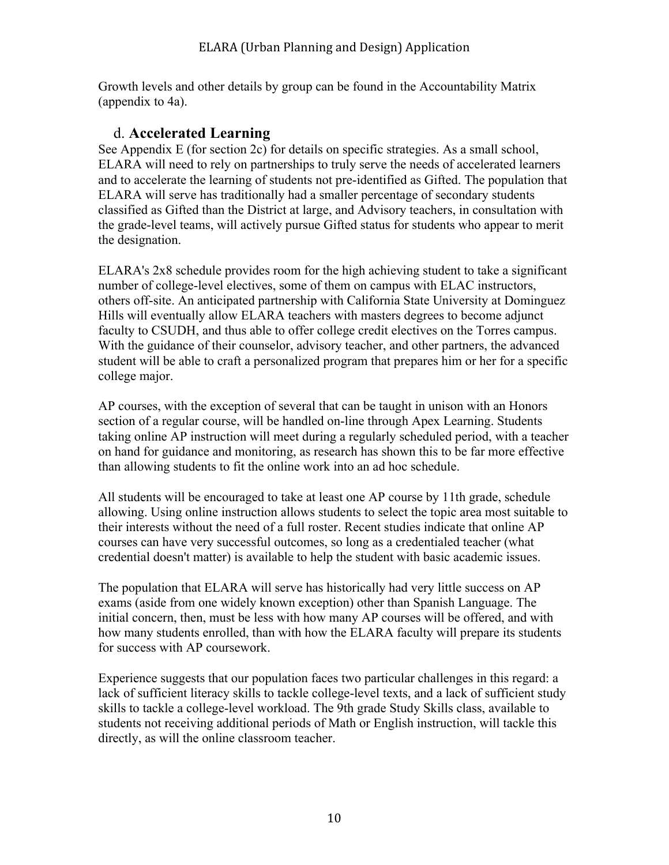Growth levels and other details by group can be found in the Accountability Matrix (appendix to 4a).

## d. **Accelerated Learning**

See Appendix E (for section 2c) for details on specific strategies. As a small school, ELARA will need to rely on partnerships to truly serve the needs of accelerated learners and to accelerate the learning of students not pre-identified as Gifted. The population that ELARA will serve has traditionally had a smaller percentage of secondary students classified as Gifted than the District at large, and Advisory teachers, in consultation with the grade-level teams, will actively pursue Gifted status for students who appear to merit the designation.

ELARA's 2x8 schedule provides room for the high achieving student to take a significant number of college-level electives, some of them on campus with ELAC instructors, others off-site. An anticipated partnership with California State University at Dominguez Hills will eventually allow ELARA teachers with masters degrees to become adjunct faculty to CSUDH, and thus able to offer college credit electives on the Torres campus. With the guidance of their counselor, advisory teacher, and other partners, the advanced student will be able to craft a personalized program that prepares him or her for a specific college major.

AP courses, with the exception of several that can be taught in unison with an Honors section of a regular course, will be handled on-line through Apex Learning. Students taking online AP instruction will meet during a regularly scheduled period, with a teacher on hand for guidance and monitoring, as research has shown this to be far more effective than allowing students to fit the online work into an ad hoc schedule.

All students will be encouraged to take at least one AP course by 11th grade, schedule allowing. Using online instruction allows students to select the topic area most suitable to their interests without the need of a full roster. Recent studies indicate that online AP courses can have very successful outcomes, so long as a credentialed teacher (what credential doesn't matter) is available to help the student with basic academic issues.

The population that ELARA will serve has historically had very little success on AP exams (aside from one widely known exception) other than Spanish Language. The initial concern, then, must be less with how many AP courses will be offered, and with how many students enrolled, than with how the ELARA faculty will prepare its students for success with AP coursework.

Experience suggests that our population faces two particular challenges in this regard: a lack of sufficient literacy skills to tackle college-level texts, and a lack of sufficient study skills to tackle a college-level workload. The 9th grade Study Skills class, available to students not receiving additional periods of Math or English instruction, will tackle this directly, as will the online classroom teacher.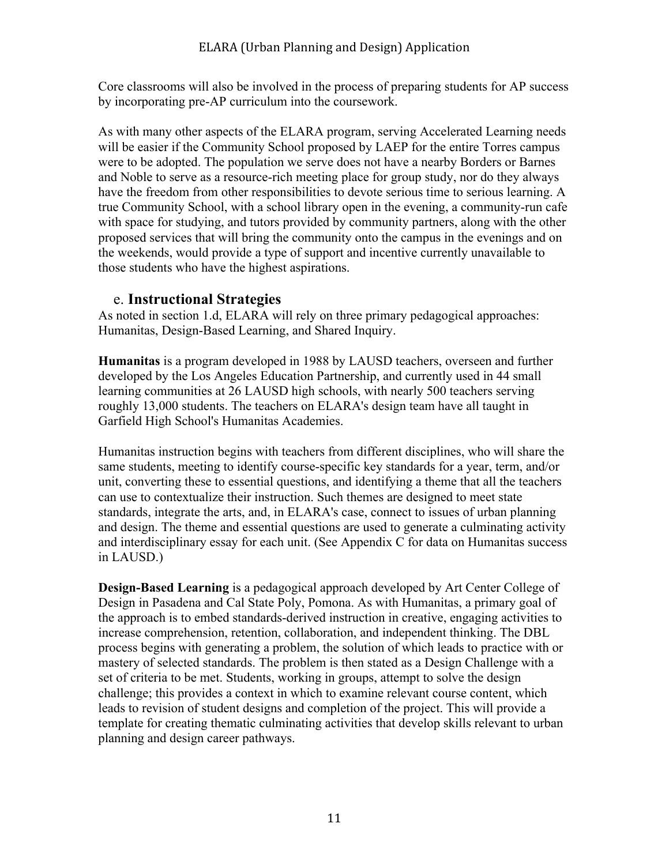Core classrooms will also be involved in the process of preparing students for AP success by incorporating pre-AP curriculum into the coursework.

As with many other aspects of the ELARA program, serving Accelerated Learning needs will be easier if the Community School proposed by LAEP for the entire Torres campus were to be adopted. The population we serve does not have a nearby Borders or Barnes and Noble to serve as a resource-rich meeting place for group study, nor do they always have the freedom from other responsibilities to devote serious time to serious learning. A true Community School, with a school library open in the evening, a community-run cafe with space for studying, and tutors provided by community partners, along with the other proposed services that will bring the community onto the campus in the evenings and on the weekends, would provide a type of support and incentive currently unavailable to those students who have the highest aspirations.

### e. **Instructional Strategies**

As noted in section 1.d, ELARA will rely on three primary pedagogical approaches: Humanitas, Design-Based Learning, and Shared Inquiry.

**Humanitas** is a program developed in 1988 by LAUSD teachers, overseen and further developed by the Los Angeles Education Partnership, and currently used in 44 small learning communities at 26 LAUSD high schools, with nearly 500 teachers serving roughly 13,000 students. The teachers on ELARA's design team have all taught in Garfield High School's Humanitas Academies.

Humanitas instruction begins with teachers from different disciplines, who will share the same students, meeting to identify course-specific key standards for a year, term, and/or unit, converting these to essential questions, and identifying a theme that all the teachers can use to contextualize their instruction. Such themes are designed to meet state standards, integrate the arts, and, in ELARA's case, connect to issues of urban planning and design. The theme and essential questions are used to generate a culminating activity and interdisciplinary essay for each unit. (See Appendix C for data on Humanitas success in LAUSD.)

**Design-Based Learning** is a pedagogical approach developed by Art Center College of Design in Pasadena and Cal State Poly, Pomona. As with Humanitas, a primary goal of the approach is to embed standards-derived instruction in creative, engaging activities to increase comprehension, retention, collaboration, and independent thinking. The DBL process begins with generating a problem, the solution of which leads to practice with or mastery of selected standards. The problem is then stated as a Design Challenge with a set of criteria to be met. Students, working in groups, attempt to solve the design challenge; this provides a context in which to examine relevant course content, which leads to revision of student designs and completion of the project. This will provide a template for creating thematic culminating activities that develop skills relevant to urban planning and design career pathways.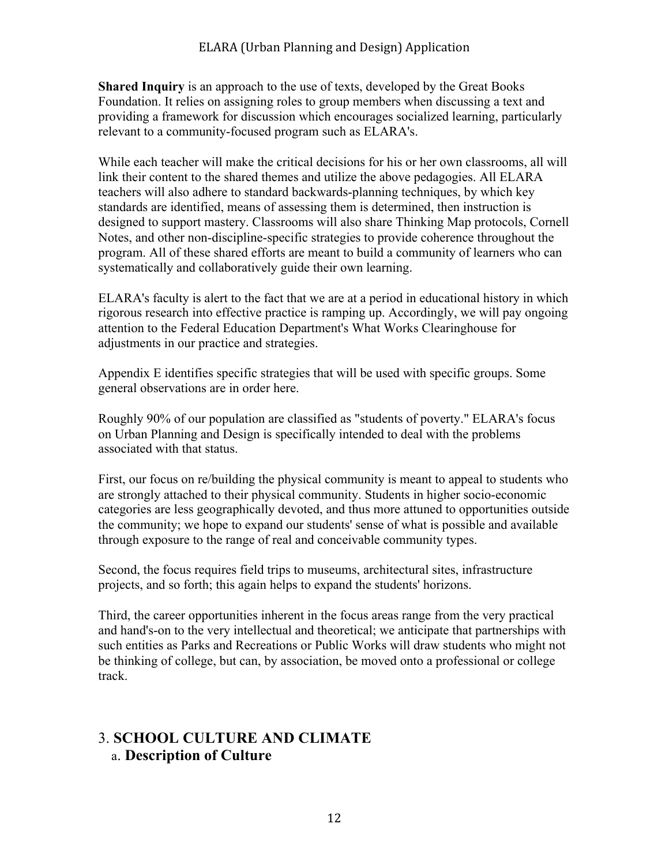**Shared Inquiry** is an approach to the use of texts, developed by the Great Books Foundation. It relies on assigning roles to group members when discussing a text and providing a framework for discussion which encourages socialized learning, particularly relevant to a community-focused program such as ELARA's.

While each teacher will make the critical decisions for his or her own classrooms, all will link their content to the shared themes and utilize the above pedagogies. All ELARA teachers will also adhere to standard backwards-planning techniques, by which key standards are identified, means of assessing them is determined, then instruction is designed to support mastery. Classrooms will also share Thinking Map protocols, Cornell Notes, and other non-discipline-specific strategies to provide coherence throughout the program. All of these shared efforts are meant to build a community of learners who can systematically and collaboratively guide their own learning.

ELARA's faculty is alert to the fact that we are at a period in educational history in which rigorous research into effective practice is ramping up. Accordingly, we will pay ongoing attention to the Federal Education Department's What Works Clearinghouse for adjustments in our practice and strategies.

Appendix E identifies specific strategies that will be used with specific groups. Some general observations are in order here.

Roughly 90% of our population are classified as "students of poverty." ELARA's focus on Urban Planning and Design is specifically intended to deal with the problems associated with that status.

First, our focus on re/building the physical community is meant to appeal to students who are strongly attached to their physical community. Students in higher socio-economic categories are less geographically devoted, and thus more attuned to opportunities outside the community; we hope to expand our students' sense of what is possible and available through exposure to the range of real and conceivable community types.

Second, the focus requires field trips to museums, architectural sites, infrastructure projects, and so forth; this again helps to expand the students' horizons.

Third, the career opportunities inherent in the focus areas range from the very practical and hand's-on to the very intellectual and theoretical; we anticipate that partnerships with such entities as Parks and Recreations or Public Works will draw students who might not be thinking of college, but can, by association, be moved onto a professional or college track.

# 3. **SCHOOL CULTURE AND CLIMATE** a. **Description of Culture**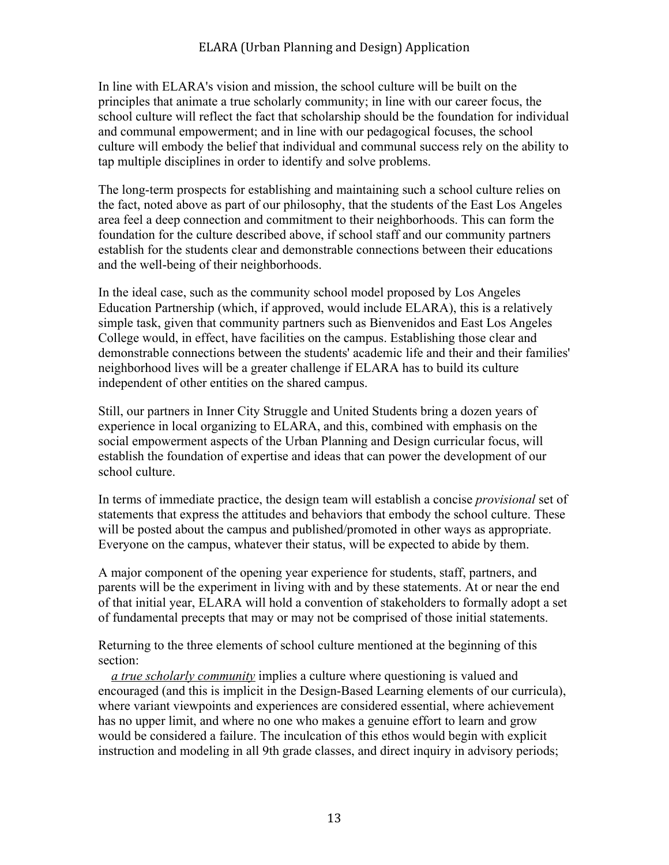In line with ELARA's vision and mission, the school culture will be built on the principles that animate a true scholarly community; in line with our career focus, the school culture will reflect the fact that scholarship should be the foundation for individual and communal empowerment; and in line with our pedagogical focuses, the school culture will embody the belief that individual and communal success rely on the ability to tap multiple disciplines in order to identify and solve problems.

The long-term prospects for establishing and maintaining such a school culture relies on the fact, noted above as part of our philosophy, that the students of the East Los Angeles area feel a deep connection and commitment to their neighborhoods. This can form the foundation for the culture described above, if school staff and our community partners establish for the students clear and demonstrable connections between their educations and the well-being of their neighborhoods.

In the ideal case, such as the community school model proposed by Los Angeles Education Partnership (which, if approved, would include ELARA), this is a relatively simple task, given that community partners such as Bienvenidos and East Los Angeles College would, in effect, have facilities on the campus. Establishing those clear and demonstrable connections between the students' academic life and their and their families' neighborhood lives will be a greater challenge if ELARA has to build its culture independent of other entities on the shared campus.

Still, our partners in Inner City Struggle and United Students bring a dozen years of experience in local organizing to ELARA, and this, combined with emphasis on the social empowerment aspects of the Urban Planning and Design curricular focus, will establish the foundation of expertise and ideas that can power the development of our school culture.

In terms of immediate practice, the design team will establish a concise *provisional* set of statements that express the attitudes and behaviors that embody the school culture. These will be posted about the campus and published/promoted in other ways as appropriate. Everyone on the campus, whatever their status, will be expected to abide by them.

A major component of the opening year experience for students, staff, partners, and parents will be the experiment in living with and by these statements. At or near the end of that initial year, ELARA will hold a convention of stakeholders to formally adopt a set of fundamental precepts that may or may not be comprised of those initial statements.

Returning to the three elements of school culture mentioned at the beginning of this section:

 *a true scholarly community* implies a culture where questioning is valued and encouraged (and this is implicit in the Design-Based Learning elements of our curricula), where variant viewpoints and experiences are considered essential, where achievement has no upper limit, and where no one who makes a genuine effort to learn and grow would be considered a failure. The inculcation of this ethos would begin with explicit instruction and modeling in all 9th grade classes, and direct inquiry in advisory periods;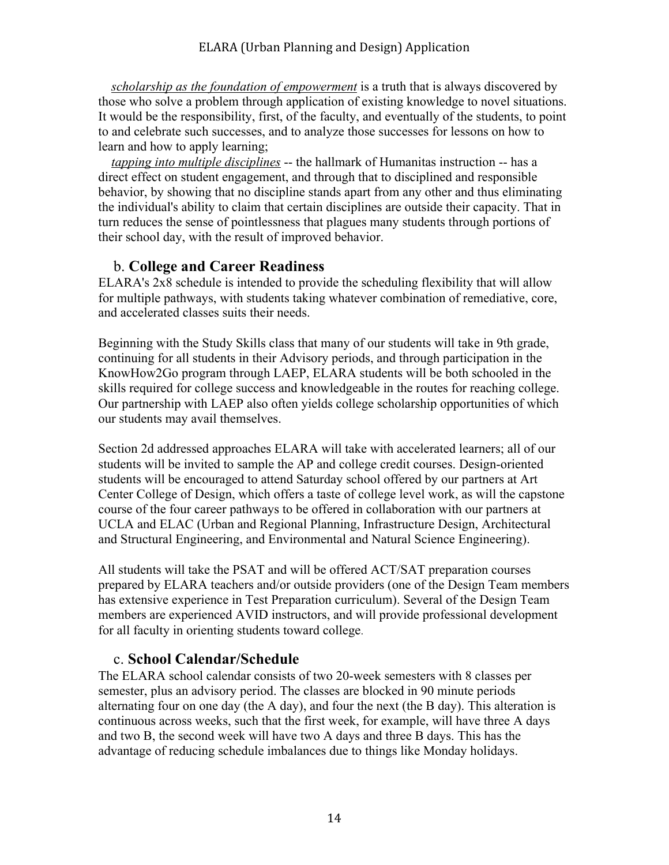*scholarship as the foundation of empowerment* is a truth that is always discovered by those who solve a problem through application of existing knowledge to novel situations. It would be the responsibility, first, of the faculty, and eventually of the students, to point to and celebrate such successes, and to analyze those successes for lessons on how to learn and how to apply learning;

 *tapping into multiple disciplines* -- the hallmark of Humanitas instruction -- has a direct effect on student engagement, and through that to disciplined and responsible behavior, by showing that no discipline stands apart from any other and thus eliminating the individual's ability to claim that certain disciplines are outside their capacity. That in turn reduces the sense of pointlessness that plagues many students through portions of their school day, with the result of improved behavior.

## b. **College and Career Readiness**

ELARA's 2x8 schedule is intended to provide the scheduling flexibility that will allow for multiple pathways, with students taking whatever combination of remediative, core, and accelerated classes suits their needs.

Beginning with the Study Skills class that many of our students will take in 9th grade, continuing for all students in their Advisory periods, and through participation in the KnowHow2Go program through LAEP, ELARA students will be both schooled in the skills required for college success and knowledgeable in the routes for reaching college. Our partnership with LAEP also often yields college scholarship opportunities of which our students may avail themselves.

Section 2d addressed approaches ELARA will take with accelerated learners; all of our students will be invited to sample the AP and college credit courses. Design-oriented students will be encouraged to attend Saturday school offered by our partners at Art Center College of Design, which offers a taste of college level work, as will the capstone course of the four career pathways to be offered in collaboration with our partners at UCLA and ELAC (Urban and Regional Planning, Infrastructure Design, Architectural and Structural Engineering, and Environmental and Natural Science Engineering).

All students will take the PSAT and will be offered ACT/SAT preparation courses prepared by ELARA teachers and/or outside providers (one of the Design Team members has extensive experience in Test Preparation curriculum). Several of the Design Team members are experienced AVID instructors, and will provide professional development for all faculty in orienting students toward college.

## c. **School Calendar/Schedule**

The ELARA school calendar consists of two 20-week semesters with 8 classes per semester, plus an advisory period. The classes are blocked in 90 minute periods alternating four on one day (the A day), and four the next (the B day). This alteration is continuous across weeks, such that the first week, for example, will have three A days and two B, the second week will have two A days and three B days. This has the advantage of reducing schedule imbalances due to things like Monday holidays.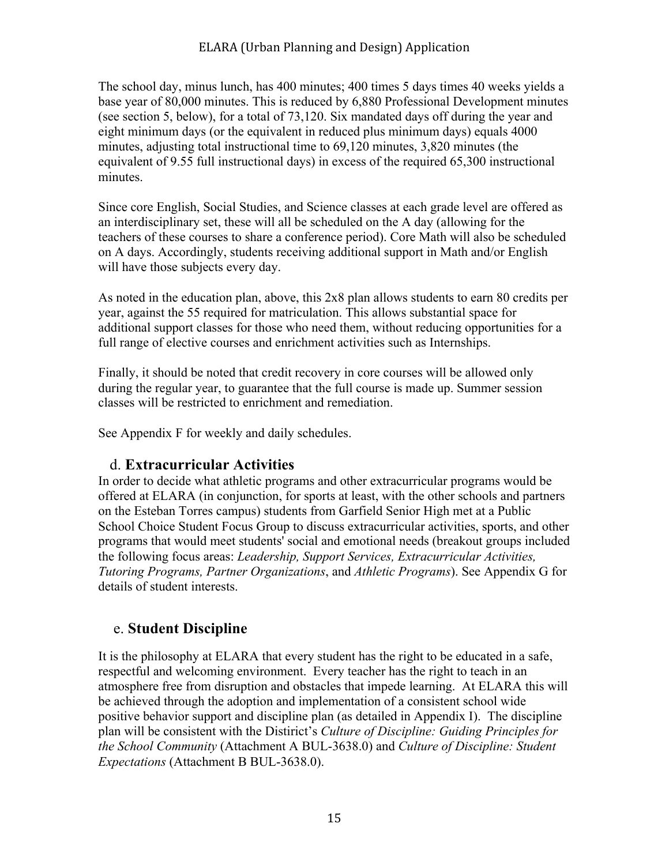The school day, minus lunch, has 400 minutes; 400 times 5 days times 40 weeks yields a base year of 80,000 minutes. This is reduced by 6,880 Professional Development minutes (see section 5, below), for a total of 73,120. Six mandated days off during the year and eight minimum days (or the equivalent in reduced plus minimum days) equals 4000 minutes, adjusting total instructional time to 69,120 minutes, 3,820 minutes (the equivalent of 9.55 full instructional days) in excess of the required 65,300 instructional minutes.

Since core English, Social Studies, and Science classes at each grade level are offered as an interdisciplinary set, these will all be scheduled on the A day (allowing for the teachers of these courses to share a conference period). Core Math will also be scheduled on A days. Accordingly, students receiving additional support in Math and/or English will have those subjects every day.

As noted in the education plan, above, this 2x8 plan allows students to earn 80 credits per year, against the 55 required for matriculation. This allows substantial space for additional support classes for those who need them, without reducing opportunities for a full range of elective courses and enrichment activities such as Internships.

Finally, it should be noted that credit recovery in core courses will be allowed only during the regular year, to guarantee that the full course is made up. Summer session classes will be restricted to enrichment and remediation.

See Appendix F for weekly and daily schedules.

### d. **Extracurricular Activities**

In order to decide what athletic programs and other extracurricular programs would be offered at ELARA (in conjunction, for sports at least, with the other schools and partners on the Esteban Torres campus) students from Garfield Senior High met at a Public School Choice Student Focus Group to discuss extracurricular activities, sports, and other programs that would meet students' social and emotional needs (breakout groups included the following focus areas: *Leadership, Support Services, Extracurricular Activities, Tutoring Programs, Partner Organizations*, and *Athletic Programs*). See Appendix G for details of student interests.

### e. **Student Discipline**

It is the philosophy at ELARA that every student has the right to be educated in a safe, respectful and welcoming environment. Every teacher has the right to teach in an atmosphere free from disruption and obstacles that impede learning. At ELARA this will be achieved through the adoption and implementation of a consistent school wide positive behavior support and discipline plan (as detailed in Appendix I). The discipline plan will be consistent with the Distirict's *Culture of Discipline: Guiding Principles for the School Community* (Attachment A BUL-3638.0) and *Culture of Discipline: Student Expectations* (Attachment B BUL-3638.0).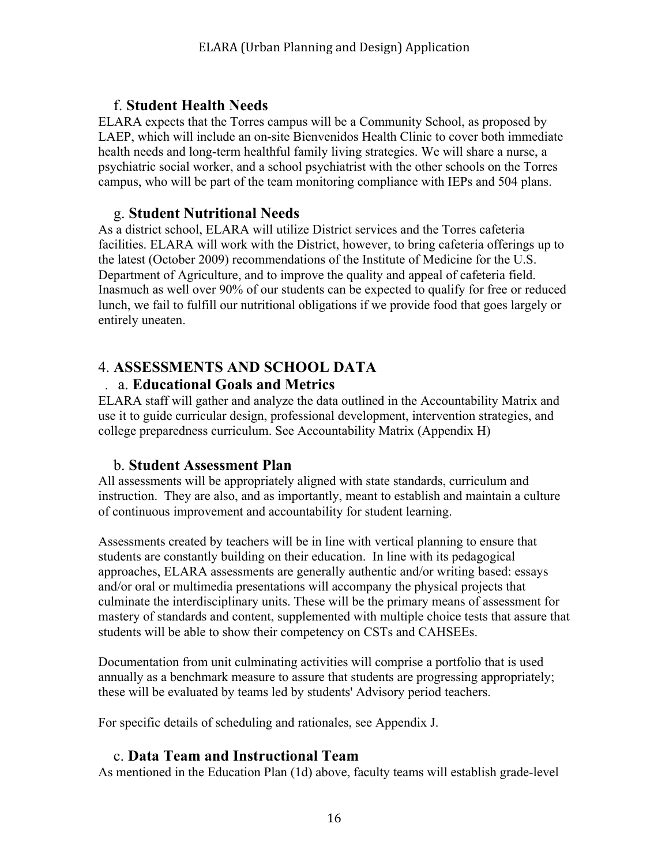## f. **Student Health Needs**

ELARA expects that the Torres campus will be a Community School, as proposed by LAEP, which will include an on-site Bienvenidos Health Clinic to cover both immediate health needs and long-term healthful family living strategies. We will share a nurse, a psychiatric social worker, and a school psychiatrist with the other schools on the Torres campus, who will be part of the team monitoring compliance with IEPs and 504 plans.

### g. **Student Nutritional Needs**

As a district school, ELARA will utilize District services and the Torres cafeteria facilities. ELARA will work with the District, however, to bring cafeteria offerings up to the latest (October 2009) recommendations of the Institute of Medicine for the U.S. Department of Agriculture, and to improve the quality and appeal of cafeteria field. Inasmuch as well over 90% of our students can be expected to qualify for free or reduced lunch, we fail to fulfill our nutritional obligations if we provide food that goes largely or entirely uneaten.

## 4. **ASSESSMENTS AND SCHOOL DATA**

### . a. **Educational Goals and Metrics**

ELARA staff will gather and analyze the data outlined in the Accountability Matrix and use it to guide curricular design, professional development, intervention strategies, and college preparedness curriculum. See Accountability Matrix (Appendix H)

### b. **Student Assessment Plan**

All assessments will be appropriately aligned with state standards, curriculum and instruction. They are also, and as importantly, meant to establish and maintain a culture of continuous improvement and accountability for student learning.

Assessments created by teachers will be in line with vertical planning to ensure that students are constantly building on their education. In line with its pedagogical approaches, ELARA assessments are generally authentic and/or writing based: essays and/or oral or multimedia presentations will accompany the physical projects that culminate the interdisciplinary units. These will be the primary means of assessment for mastery of standards and content, supplemented with multiple choice tests that assure that students will be able to show their competency on CSTs and CAHSEEs.

Documentation from unit culminating activities will comprise a portfolio that is used annually as a benchmark measure to assure that students are progressing appropriately; these will be evaluated by teams led by students' Advisory period teachers.

For specific details of scheduling and rationales, see Appendix J.

## c. **Data Team and Instructional Team**

As mentioned in the Education Plan (1d) above, faculty teams will establish grade-level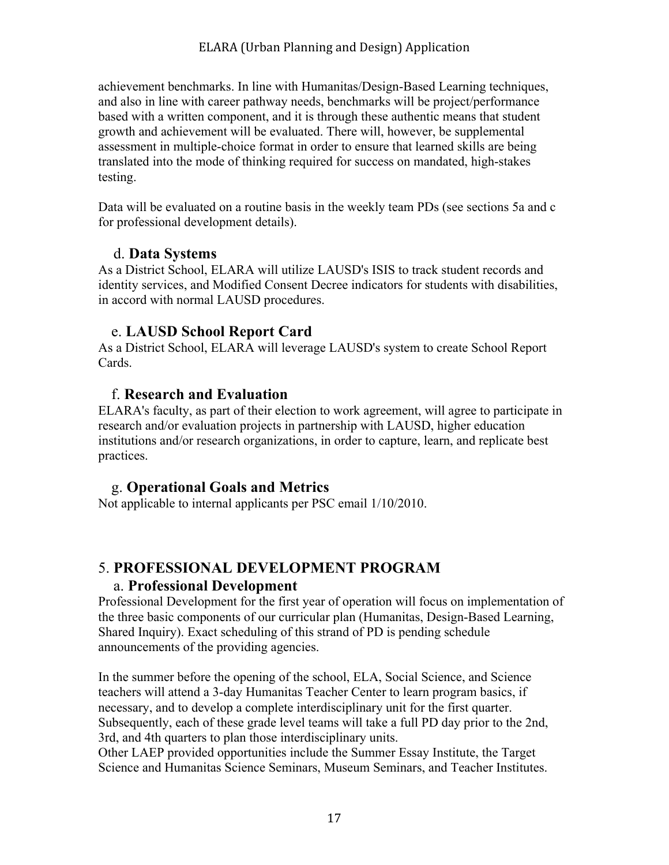achievement benchmarks. In line with Humanitas/Design-Based Learning techniques, and also in line with career pathway needs, benchmarks will be project/performance based with a written component, and it is through these authentic means that student growth and achievement will be evaluated. There will, however, be supplemental assessment in multiple-choice format in order to ensure that learned skills are being translated into the mode of thinking required for success on mandated, high-stakes testing.

Data will be evaluated on a routine basis in the weekly team PDs (see sections 5a and c for professional development details).

### d. **Data Systems**

As a District School, ELARA will utilize LAUSD's ISIS to track student records and identity services, and Modified Consent Decree indicators for students with disabilities, in accord with normal LAUSD procedures.

## e. **LAUSD School Report Card**

As a District School, ELARA will leverage LAUSD's system to create School Report Cards.

### f. **Research and Evaluation**

ELARA's faculty, as part of their election to work agreement, will agree to participate in research and/or evaluation projects in partnership with LAUSD, higher education institutions and/or research organizations, in order to capture, learn, and replicate best practices.

## g. **Operational Goals and Metrics**

Not applicable to internal applicants per PSC email 1/10/2010.

# 5. **PROFESSIONAL DEVELOPMENT PROGRAM**

### a. **Professional Development**

Professional Development for the first year of operation will focus on implementation of the three basic components of our curricular plan (Humanitas, Design-Based Learning, Shared Inquiry). Exact scheduling of this strand of PD is pending schedule announcements of the providing agencies.

In the summer before the opening of the school, ELA, Social Science, and Science teachers will attend a 3-day Humanitas Teacher Center to learn program basics, if necessary, and to develop a complete interdisciplinary unit for the first quarter. Subsequently, each of these grade level teams will take a full PD day prior to the 2nd, 3rd, and 4th quarters to plan those interdisciplinary units.

Other LAEP provided opportunities include the Summer Essay Institute, the Target Science and Humanitas Science Seminars, Museum Seminars, and Teacher Institutes.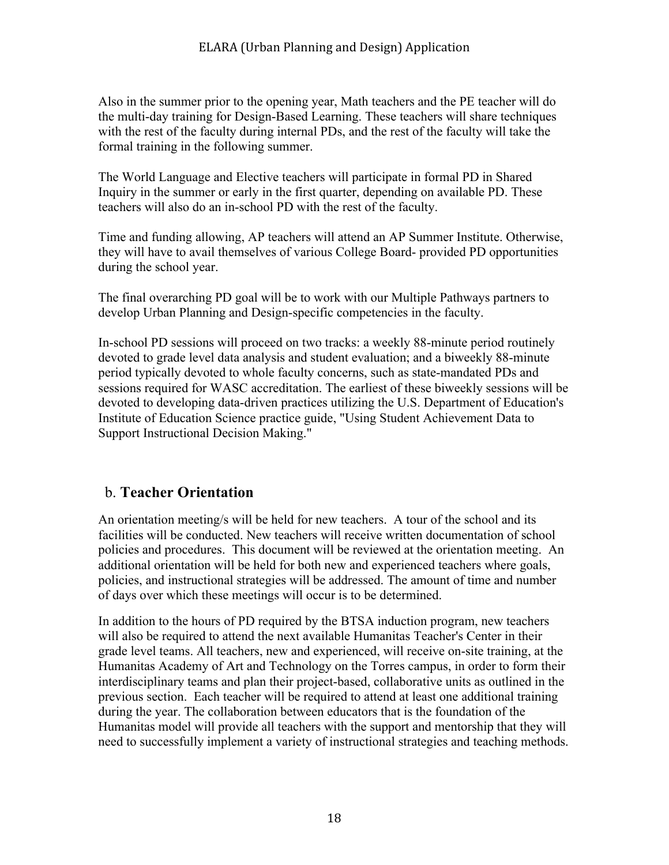Also in the summer prior to the opening year, Math teachers and the PE teacher will do the multi-day training for Design-Based Learning. These teachers will share techniques with the rest of the faculty during internal PDs, and the rest of the faculty will take the formal training in the following summer.

The World Language and Elective teachers will participate in formal PD in Shared Inquiry in the summer or early in the first quarter, depending on available PD. These teachers will also do an in-school PD with the rest of the faculty.

Time and funding allowing, AP teachers will attend an AP Summer Institute. Otherwise, they will have to avail themselves of various College Board- provided PD opportunities during the school year.

The final overarching PD goal will be to work with our Multiple Pathways partners to develop Urban Planning and Design-specific competencies in the faculty.

In-school PD sessions will proceed on two tracks: a weekly 88-minute period routinely devoted to grade level data analysis and student evaluation; and a biweekly 88-minute period typically devoted to whole faculty concerns, such as state-mandated PDs and sessions required for WASC accreditation. The earliest of these biweekly sessions will be devoted to developing data-driven practices utilizing the U.S. Department of Education's Institute of Education Science practice guide, "Using Student Achievement Data to Support Instructional Decision Making."

## b. **Teacher Orientation**

An orientation meeting/s will be held for new teachers. A tour of the school and its facilities will be conducted. New teachers will receive written documentation of school policies and procedures. This document will be reviewed at the orientation meeting. An additional orientation will be held for both new and experienced teachers where goals, policies, and instructional strategies will be addressed. The amount of time and number of days over which these meetings will occur is to be determined.

In addition to the hours of PD required by the BTSA induction program, new teachers will also be required to attend the next available Humanitas Teacher's Center in their grade level teams. All teachers, new and experienced, will receive on-site training, at the Humanitas Academy of Art and Technology on the Torres campus, in order to form their interdisciplinary teams and plan their project-based, collaborative units as outlined in the previous section. Each teacher will be required to attend at least one additional training during the year. The collaboration between educators that is the foundation of the Humanitas model will provide all teachers with the support and mentorship that they will need to successfully implement a variety of instructional strategies and teaching methods.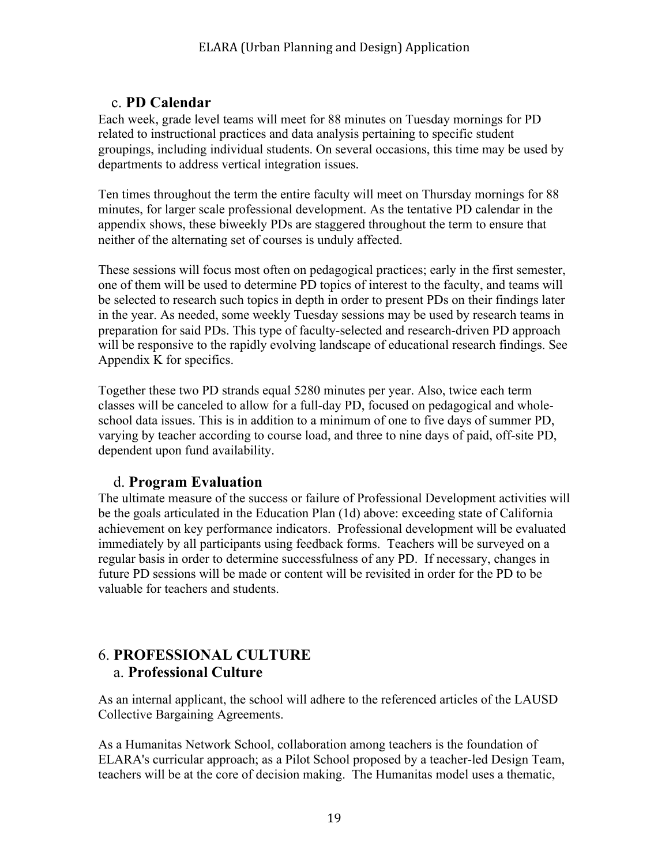# c. **PD Calendar**

Each week, grade level teams will meet for 88 minutes on Tuesday mornings for PD related to instructional practices and data analysis pertaining to specific student groupings, including individual students. On several occasions, this time may be used by departments to address vertical integration issues.

Ten times throughout the term the entire faculty will meet on Thursday mornings for 88 minutes, for larger scale professional development. As the tentative PD calendar in the appendix shows, these biweekly PDs are staggered throughout the term to ensure that neither of the alternating set of courses is unduly affected.

These sessions will focus most often on pedagogical practices; early in the first semester, one of them will be used to determine PD topics of interest to the faculty, and teams will be selected to research such topics in depth in order to present PDs on their findings later in the year. As needed, some weekly Tuesday sessions may be used by research teams in preparation for said PDs. This type of faculty-selected and research-driven PD approach will be responsive to the rapidly evolving landscape of educational research findings. See Appendix K for specifics.

Together these two PD strands equal 5280 minutes per year. Also, twice each term classes will be canceled to allow for a full-day PD, focused on pedagogical and wholeschool data issues. This is in addition to a minimum of one to five days of summer PD, varying by teacher according to course load, and three to nine days of paid, off-site PD, dependent upon fund availability.

## d. **Program Evaluation**

The ultimate measure of the success or failure of Professional Development activities will be the goals articulated in the Education Plan (1d) above: exceeding state of California achievement on key performance indicators. Professional development will be evaluated immediately by all participants using feedback forms. Teachers will be surveyed on a regular basis in order to determine successfulness of any PD. If necessary, changes in future PD sessions will be made or content will be revisited in order for the PD to be valuable for teachers and students.

# 6. **PROFESSIONAL CULTURE** a. **Professional Culture**

As an internal applicant, the school will adhere to the referenced articles of the LAUSD Collective Bargaining Agreements.

As a Humanitas Network School, collaboration among teachers is the foundation of ELARA's curricular approach; as a Pilot School proposed by a teacher-led Design Team, teachers will be at the core of decision making. The Humanitas model uses a thematic,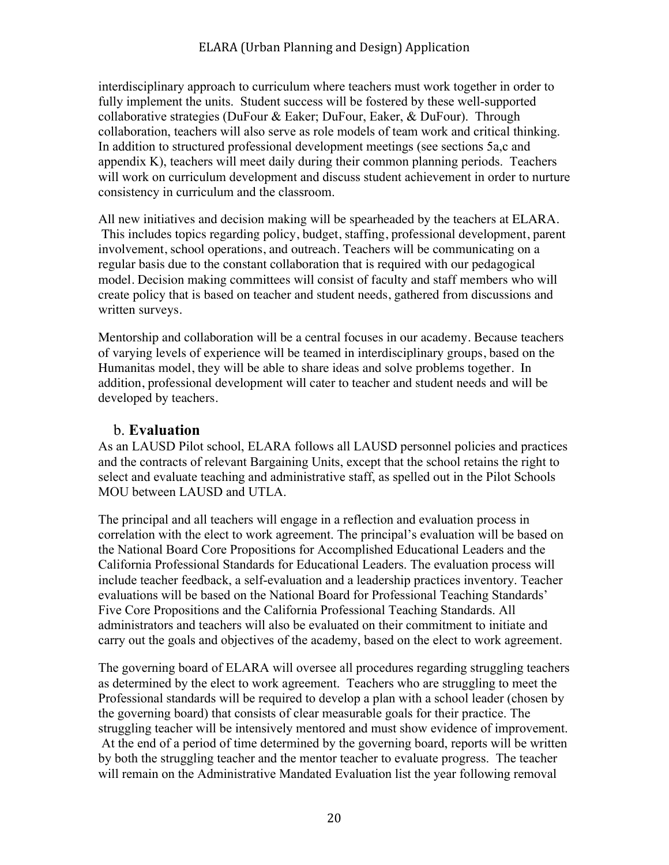interdisciplinary approach to curriculum where teachers must work together in order to fully implement the units. Student success will be fostered by these well-supported collaborative strategies (DuFour & Eaker; DuFour, Eaker, & DuFour). Through collaboration, teachers will also serve as role models of team work and critical thinking. In addition to structured professional development meetings (see sections 5a,c and appendix K), teachers will meet daily during their common planning periods. Teachers will work on curriculum development and discuss student achievement in order to nurture consistency in curriculum and the classroom.

All new initiatives and decision making will be spearheaded by the teachers at ELARA. This includes topics regarding policy, budget, staffing, professional development, parent involvement, school operations, and outreach. Teachers will be communicating on a regular basis due to the constant collaboration that is required with our pedagogical model. Decision making committees will consist of faculty and staff members who will create policy that is based on teacher and student needs, gathered from discussions and written surveys.

Mentorship and collaboration will be a central focuses in our academy. Because teachers of varying levels of experience will be teamed in interdisciplinary groups, based on the Humanitas model, they will be able to share ideas and solve problems together. In addition, professional development will cater to teacher and student needs and will be developed by teachers.

### b. **Evaluation**

As an LAUSD Pilot school, ELARA follows all LAUSD personnel policies and practices and the contracts of relevant Bargaining Units, except that the school retains the right to select and evaluate teaching and administrative staff, as spelled out in the Pilot Schools MOU between LAUSD and UTLA.

The principal and all teachers will engage in a reflection and evaluation process in correlation with the elect to work agreement. The principal's evaluation will be based on the National Board Core Propositions for Accomplished Educational Leaders and the California Professional Standards for Educational Leaders. The evaluation process will include teacher feedback, a self-evaluation and a leadership practices inventory. Teacher evaluations will be based on the National Board for Professional Teaching Standards' Five Core Propositions and the California Professional Teaching Standards. All administrators and teachers will also be evaluated on their commitment to initiate and carry out the goals and objectives of the academy, based on the elect to work agreement.

The governing board of ELARA will oversee all procedures regarding struggling teachers as determined by the elect to work agreement. Teachers who are struggling to meet the Professional standards will be required to develop a plan with a school leader (chosen by the governing board) that consists of clear measurable goals for their practice. The struggling teacher will be intensively mentored and must show evidence of improvement. At the end of a period of time determined by the governing board, reports will be written by both the struggling teacher and the mentor teacher to evaluate progress. The teacher will remain on the Administrative Mandated Evaluation list the year following removal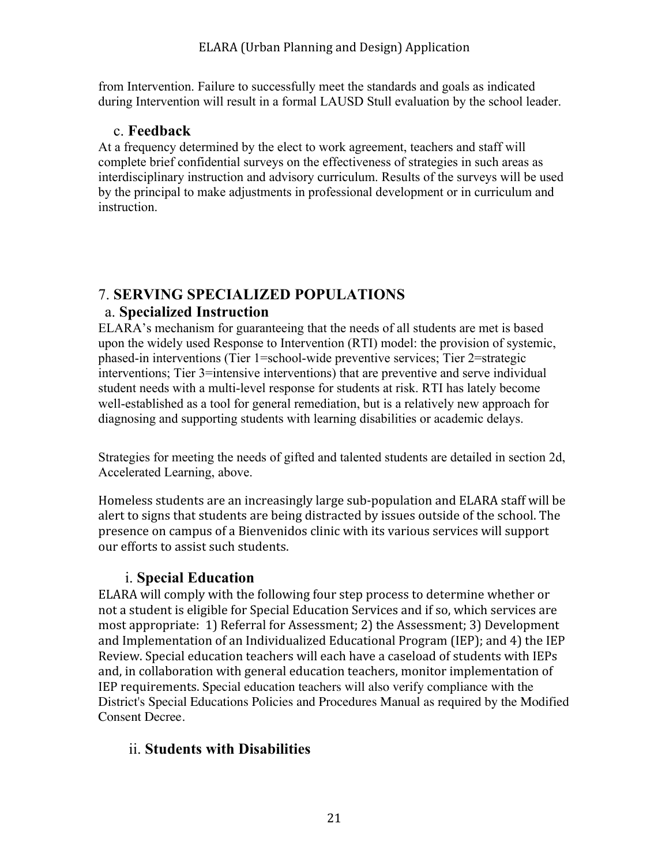from Intervention. Failure to successfully meet the standards and goals as indicated during Intervention will result in a formal LAUSD Stull evaluation by the school leader.

## c. **Feedback**

At a frequency determined by the elect to work agreement, teachers and staff will complete brief confidential surveys on the effectiveness of strategies in such areas as interdisciplinary instruction and advisory curriculum. Results of the surveys will be used by the principal to make adjustments in professional development or in curriculum and **instruction** 

# 7. **SERVING SPECIALIZED POPULATIONS**

# a. **Specialized Instruction**

ELARA's mechanism for guaranteeing that the needs of all students are met is based upon the widely used Response to Intervention (RTI) model: the provision of systemic, phased-in interventions (Tier 1=school-wide preventive services; Tier 2=strategic interventions; Tier 3=intensive interventions) that are preventive and serve individual student needs with a multi-level response for students at risk. RTI has lately become well-established as a tool for general remediation, but is a relatively new approach for diagnosing and supporting students with learning disabilities or academic delays.

Strategies for meeting the needs of gifted and talented students are detailed in section 2d, Accelerated Learning, above.

Homeless students are an increasingly large sub‐population and ELARA staff will be alert to signs that students are being distracted by issues outside of the school. The presence on campus of a Bienvenidos clinic with its various services will support our efforts to assist such students.

## i. **Special Education**

ELARA will comply with the following four step process to determine whether or not a student is eligible for Special Education Services and if so, which services are most appropriate: 1) Referral for Assessment; 2) the Assessment; 3) Development and Implementation of an Individualized Educational Program (IEP); and 4) the IEP Review. Special education teachers will each have a caseload of students with IEPs and, in collaboration with general education teachers, monitor implementation of IEP requirements. Special education teachers will also verify compliance with the District's Special Educations Policies and Procedures Manual as required by the Modified Consent Decree.

# ii. **Students with Disabilities**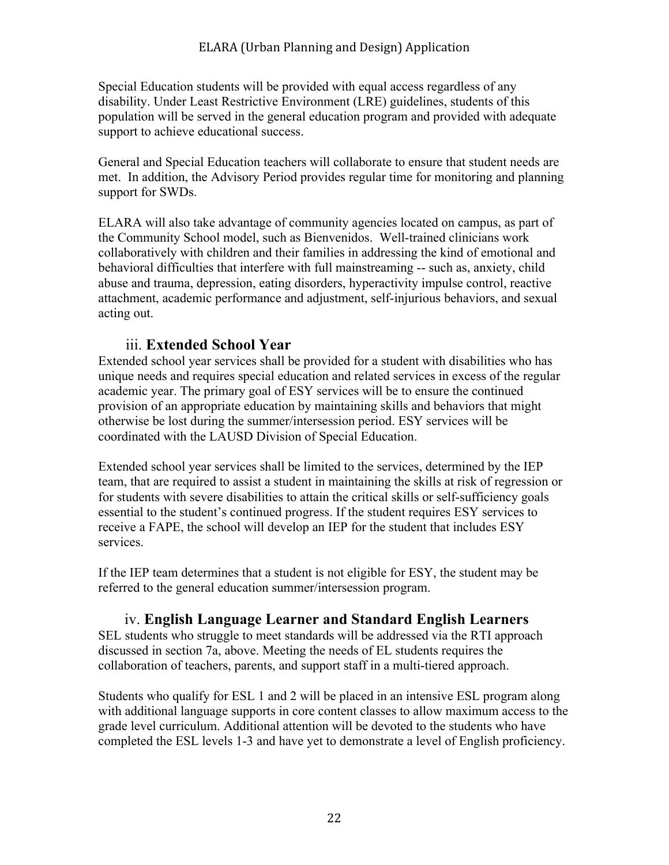Special Education students will be provided with equal access regardless of any disability. Under Least Restrictive Environment (LRE) guidelines, students of this population will be served in the general education program and provided with adequate support to achieve educational success.

General and Special Education teachers will collaborate to ensure that student needs are met. In addition, the Advisory Period provides regular time for monitoring and planning support for SWDs.

ELARA will also take advantage of community agencies located on campus, as part of the Community School model, such as Bienvenidos. Well-trained clinicians work collaboratively with children and their families in addressing the kind of emotional and behavioral difficulties that interfere with full mainstreaming -- such as, anxiety, child abuse and trauma, depression, eating disorders, hyperactivity impulse control, reactive attachment, academic performance and adjustment, self-injurious behaviors, and sexual acting out.

## iii. **Extended School Year**

Extended school year services shall be provided for a student with disabilities who has unique needs and requires special education and related services in excess of the regular academic year. The primary goal of ESY services will be to ensure the continued provision of an appropriate education by maintaining skills and behaviors that might otherwise be lost during the summer/intersession period. ESY services will be coordinated with the LAUSD Division of Special Education.

Extended school year services shall be limited to the services, determined by the IEP team, that are required to assist a student in maintaining the skills at risk of regression or for students with severe disabilities to attain the critical skills or self-sufficiency goals essential to the student's continued progress. If the student requires ESY services to receive a FAPE, the school will develop an IEP for the student that includes ESY services.

If the IEP team determines that a student is not eligible for ESY, the student may be referred to the general education summer/intersession program.

## iv. **English Language Learner and Standard English Learners**

SEL students who struggle to meet standards will be addressed via the RTI approach discussed in section 7a, above. Meeting the needs of EL students requires the collaboration of teachers, parents, and support staff in a multi-tiered approach.

Students who qualify for ESL 1 and 2 will be placed in an intensive ESL program along with additional language supports in core content classes to allow maximum access to the grade level curriculum. Additional attention will be devoted to the students who have completed the ESL levels 1-3 and have yet to demonstrate a level of English proficiency.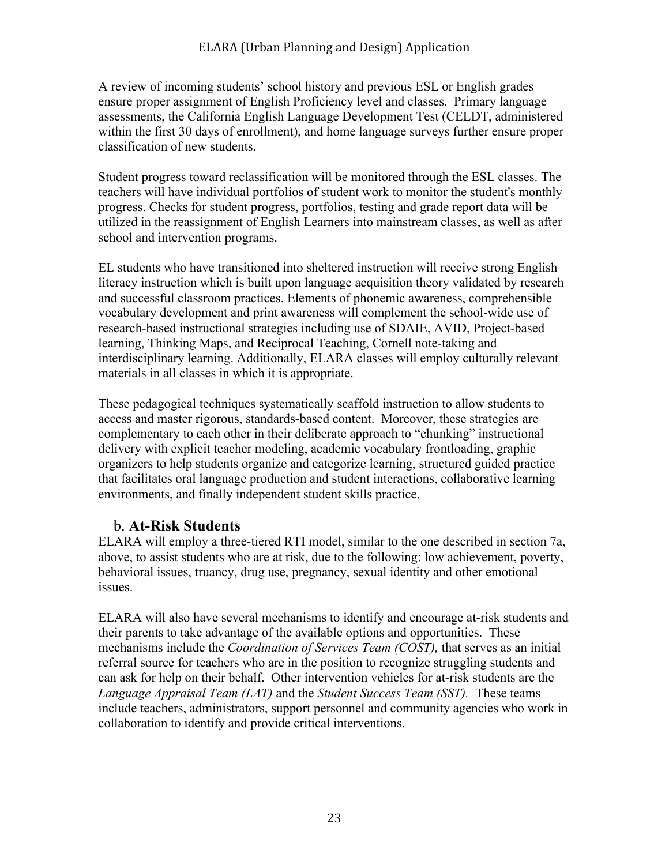A review of incoming students' school history and previous ESL or English grades ensure proper assignment of English Proficiency level and classes. Primary language assessments, the California English Language Development Test (CELDT, administered within the first 30 days of enrollment), and home language surveys further ensure proper classification of new students.

Student progress toward reclassification will be monitored through the ESL classes. The teachers will have individual portfolios of student work to monitor the student's monthly progress. Checks for student progress, portfolios, testing and grade report data will be utilized in the reassignment of English Learners into mainstream classes, as well as after school and intervention programs.

EL students who have transitioned into sheltered instruction will receive strong English literacy instruction which is built upon language acquisition theory validated by research and successful classroom practices. Elements of phonemic awareness, comprehensible vocabulary development and print awareness will complement the school-wide use of research-based instructional strategies including use of SDAIE, AVID, Project-based learning, Thinking Maps, and Reciprocal Teaching, Cornell note-taking and interdisciplinary learning. Additionally, ELARA classes will employ culturally relevant materials in all classes in which it is appropriate.

These pedagogical techniques systematically scaffold instruction to allow students to access and master rigorous, standards-based content. Moreover, these strategies are complementary to each other in their deliberate approach to "chunking" instructional delivery with explicit teacher modeling, academic vocabulary frontloading, graphic organizers to help students organize and categorize learning, structured guided practice that facilitates oral language production and student interactions, collaborative learning environments, and finally independent student skills practice.

### b. **At-Risk Students**

ELARA will employ a three-tiered RTI model, similar to the one described in section 7a, above, to assist students who are at risk, due to the following: low achievement, poverty, behavioral issues, truancy, drug use, pregnancy, sexual identity and other emotional issues.

ELARA will also have several mechanisms to identify and encourage at-risk students and their parents to take advantage of the available options and opportunities. These mechanisms include the *Coordination of Services Team (COST),* that serves as an initial referral source for teachers who are in the position to recognize struggling students and can ask for help on their behalf. Other intervention vehicles for at-risk students are the *Language Appraisal Team (LAT)* and the *Student Success Team (SST).* These teams include teachers, administrators, support personnel and community agencies who work in collaboration to identify and provide critical interventions.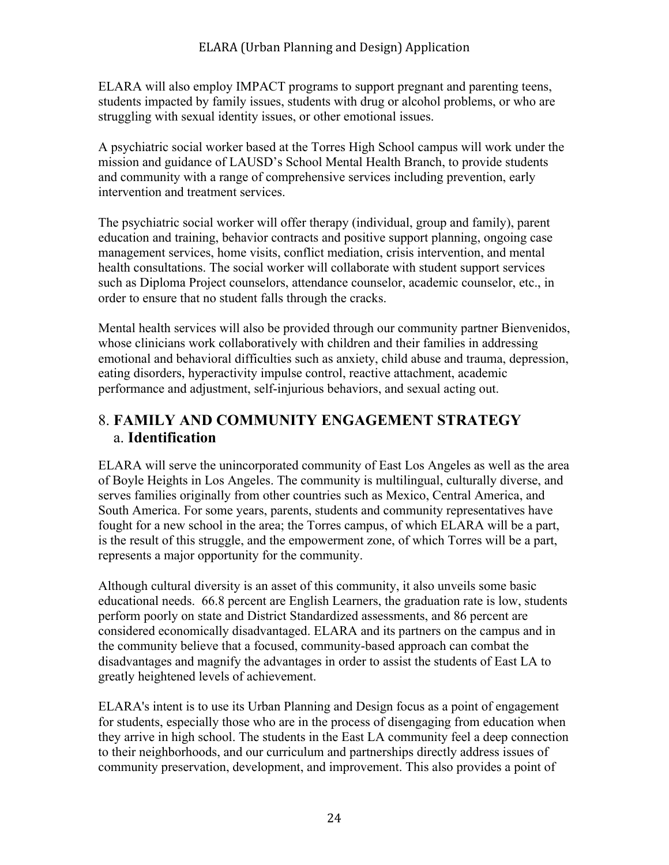ELARA will also employ IMPACT programs to support pregnant and parenting teens, students impacted by family issues, students with drug or alcohol problems, or who are struggling with sexual identity issues, or other emotional issues.

A psychiatric social worker based at the Torres High School campus will work under the mission and guidance of LAUSD's School Mental Health Branch, to provide students and community with a range of comprehensive services including prevention, early intervention and treatment services.

The psychiatric social worker will offer therapy (individual, group and family), parent education and training, behavior contracts and positive support planning, ongoing case management services, home visits, conflict mediation, crisis intervention, and mental health consultations. The social worker will collaborate with student support services such as Diploma Project counselors, attendance counselor, academic counselor, etc., in order to ensure that no student falls through the cracks.

Mental health services will also be provided through our community partner Bienvenidos, whose clinicians work collaboratively with children and their families in addressing emotional and behavioral difficulties such as anxiety, child abuse and trauma, depression, eating disorders, hyperactivity impulse control, reactive attachment, academic performance and adjustment, self-injurious behaviors, and sexual acting out.

# 8. **FAMILY AND COMMUNITY ENGAGEMENT STRATEGY** a. **Identification**

ELARA will serve the unincorporated community of East Los Angeles as well as the area of Boyle Heights in Los Angeles. The community is multilingual, culturally diverse, and serves families originally from other countries such as Mexico, Central America, and South America. For some years, parents, students and community representatives have fought for a new school in the area; the Torres campus, of which ELARA will be a part, is the result of this struggle, and the empowerment zone, of which Torres will be a part, represents a major opportunity for the community.

Although cultural diversity is an asset of this community, it also unveils some basic educational needs. 66.8 percent are English Learners, the graduation rate is low, students perform poorly on state and District Standardized assessments, and 86 percent are considered economically disadvantaged. ELARA and its partners on the campus and in the community believe that a focused, community-based approach can combat the disadvantages and magnify the advantages in order to assist the students of East LA to greatly heightened levels of achievement.

ELARA's intent is to use its Urban Planning and Design focus as a point of engagement for students, especially those who are in the process of disengaging from education when they arrive in high school. The students in the East LA community feel a deep connection to their neighborhoods, and our curriculum and partnerships directly address issues of community preservation, development, and improvement. This also provides a point of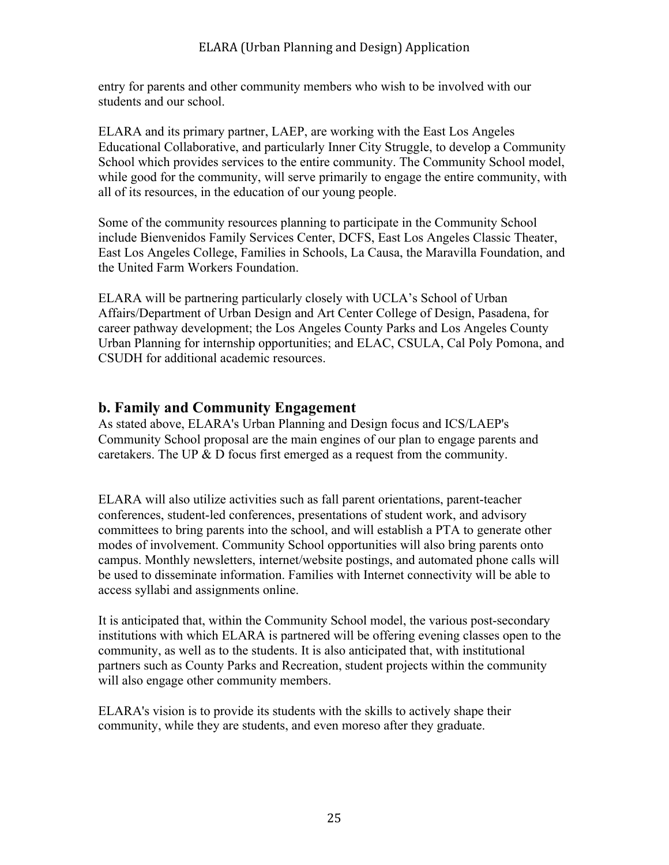entry for parents and other community members who wish to be involved with our students and our school.

ELARA and its primary partner, LAEP, are working with the East Los Angeles Educational Collaborative, and particularly Inner City Struggle, to develop a Community School which provides services to the entire community. The Community School model, while good for the community, will serve primarily to engage the entire community, with all of its resources, in the education of our young people.

Some of the community resources planning to participate in the Community School include Bienvenidos Family Services Center, DCFS, East Los Angeles Classic Theater, East Los Angeles College, Families in Schools, La Causa, the Maravilla Foundation, and the United Farm Workers Foundation.

ELARA will be partnering particularly closely with UCLA's School of Urban Affairs/Department of Urban Design and Art Center College of Design, Pasadena, for career pathway development; the Los Angeles County Parks and Los Angeles County Urban Planning for internship opportunities; and ELAC, CSULA, Cal Poly Pomona, and CSUDH for additional academic resources.

## **b. Family and Community Engagement**

As stated above, ELARA's Urban Planning and Design focus and ICS/LAEP's Community School proposal are the main engines of our plan to engage parents and caretakers. The UP & D focus first emerged as a request from the community.

ELARA will also utilize activities such as fall parent orientations, parent-teacher conferences, student-led conferences, presentations of student work, and advisory committees to bring parents into the school, and will establish a PTA to generate other modes of involvement. Community School opportunities will also bring parents onto campus. Monthly newsletters, internet/website postings, and automated phone calls will be used to disseminate information. Families with Internet connectivity will be able to access syllabi and assignments online.

It is anticipated that, within the Community School model, the various post-secondary institutions with which ELARA is partnered will be offering evening classes open to the community, as well as to the students. It is also anticipated that, with institutional partners such as County Parks and Recreation, student projects within the community will also engage other community members.

ELARA's vision is to provide its students with the skills to actively shape their community, while they are students, and even moreso after they graduate.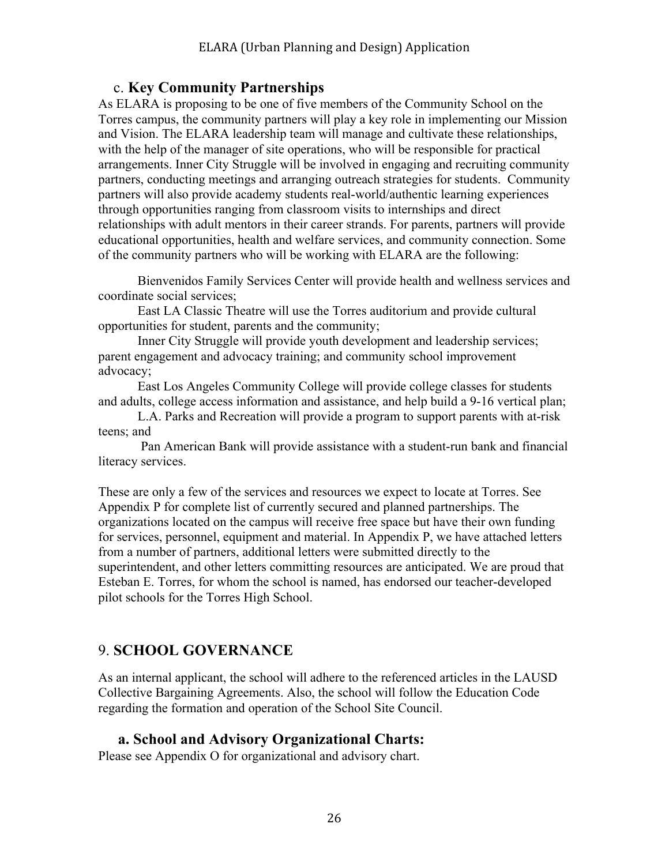### c. **Key Community Partnerships**

As ELARA is proposing to be one of five members of the Community School on the Torres campus, the community partners will play a key role in implementing our Mission and Vision. The ELARA leadership team will manage and cultivate these relationships, with the help of the manager of site operations, who will be responsible for practical arrangements. Inner City Struggle will be involved in engaging and recruiting community partners, conducting meetings and arranging outreach strategies for students. Community partners will also provide academy students real-world/authentic learning experiences through opportunities ranging from classroom visits to internships and direct relationships with adult mentors in their career strands. For parents, partners will provide educational opportunities, health and welfare services, and community connection. Some of the community partners who will be working with ELARA are the following:

Bienvenidos Family Services Center will provide health and wellness services and coordinate social services;

East LA Classic Theatre will use the Torres auditorium and provide cultural opportunities for student, parents and the community;

Inner City Struggle will provide youth development and leadership services; parent engagement and advocacy training; and community school improvement advocacy;

East Los Angeles Community College will provide college classes for students and adults, college access information and assistance, and help build a 9-16 vertical plan;

L.A. Parks and Recreation will provide a program to support parents with at-risk teens; and

Pan American Bank will provide assistance with a student-run bank and financial literacy services.

These are only a few of the services and resources we expect to locate at Torres. See Appendix P for complete list of currently secured and planned partnerships. The organizations located on the campus will receive free space but have their own funding for services, personnel, equipment and material. In Appendix P, we have attached letters from a number of partners, additional letters were submitted directly to the superintendent, and other letters committing resources are anticipated. We are proud that Esteban E. Torres, for whom the school is named, has endorsed our teacher-developed pilot schools for the Torres High School.

# 9. **SCHOOL GOVERNANCE**

As an internal applicant, the school will adhere to the referenced articles in the LAUSD Collective Bargaining Agreements. Also, the school will follow the Education Code regarding the formation and operation of the School Site Council.

### **a. School and Advisory Organizational Charts:**

Please see Appendix O for organizational and advisory chart.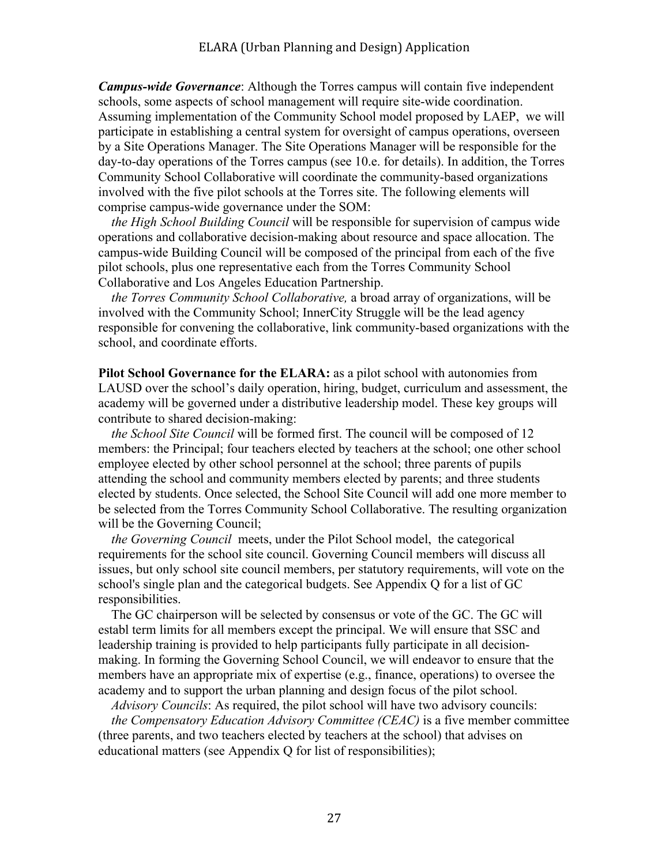*Campus-wide Governance*: Although the Torres campus will contain five independent schools, some aspects of school management will require site-wide coordination. Assuming implementation of the Community School model proposed by LAEP, we will participate in establishing a central system for oversight of campus operations, overseen by a Site Operations Manager. The Site Operations Manager will be responsible for the day-to-day operations of the Torres campus (see 10.e. for details). In addition, the Torres Community School Collaborative will coordinate the community-based organizations involved with the five pilot schools at the Torres site. The following elements will comprise campus-wide governance under the SOM:

 *the High School Building Council* will be responsible for supervision of campus wide operations and collaborative decision-making about resource and space allocation. The campus-wide Building Council will be composed of the principal from each of the five pilot schools, plus one representative each from the Torres Community School Collaborative and Los Angeles Education Partnership.

 *the Torres Community School Collaborative,* a broad array of organizations, will be involved with the Community School; InnerCity Struggle will be the lead agency responsible for convening the collaborative, link community-based organizations with the school, and coordinate efforts.

**Pilot School Governance for the ELARA:** as a pilot school with autonomies from LAUSD over the school's daily operation, hiring, budget, curriculum and assessment, the academy will be governed under a distributive leadership model. These key groups will contribute to shared decision-making:

 *the School Site Council* will be formed first. The council will be composed of 12 members: the Principal; four teachers elected by teachers at the school; one other school employee elected by other school personnel at the school; three parents of pupils attending the school and community members elected by parents; and three students elected by students. Once selected, the School Site Council will add one more member to be selected from the Torres Community School Collaborative. The resulting organization will be the Governing Council:

 *the Governing Council* meets, under the Pilot School model, the categorical requirements for the school site council. Governing Council members will discuss all issues, but only school site council members, per statutory requirements, will vote on the school's single plan and the categorical budgets. See Appendix Q for a list of GC responsibilities.

 The GC chairperson will be selected by consensus or vote of the GC. The GC will establ term limits for all members except the principal. We will ensure that SSC and leadership training is provided to help participants fully participate in all decisionmaking. In forming the Governing School Council, we will endeavor to ensure that the members have an appropriate mix of expertise (e.g., finance, operations) to oversee the academy and to support the urban planning and design focus of the pilot school.

 *Advisory Councils*: As required, the pilot school will have two advisory councils:

 *the Compensatory Education Advisory Committee (CEAC)* is a five member committee (three parents, and two teachers elected by teachers at the school) that advises on educational matters (see Appendix Q for list of responsibilities);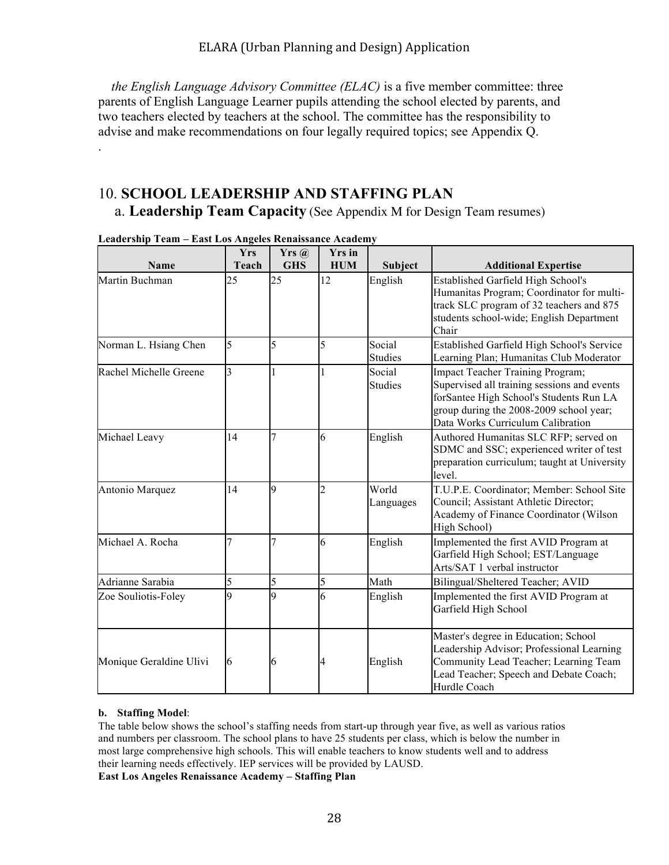*the English Language Advisory Committee (ELAC)* is a five member committee: three parents of English Language Learner pupils attending the school elected by parents, and two teachers elected by teachers at the school. The committee has the responsibility to advise and make recommendations on four legally required topics; see Appendix Q.

# 10. **SCHOOL LEADERSHIP AND STAFFING PLAN**

a. **Leadership Team Capacity** (See Appendix M for Design Team resumes)

|                         | <b>Yrs</b>              | Yrs(a)     | <b>Yrs</b> in  |                          |                                                                                                                                                                                                            |
|-------------------------|-------------------------|------------|----------------|--------------------------|------------------------------------------------------------------------------------------------------------------------------------------------------------------------------------------------------------|
| <b>Name</b>             | <b>Teach</b>            | <b>GHS</b> | <b>HUM</b>     | Subject                  | <b>Additional Expertise</b>                                                                                                                                                                                |
| Martin Buchman          | 25                      | 25         | 12             | English                  | <b>Established Garfield High School's</b><br>Humanitas Program; Coordinator for multi-<br>track SLC program of 32 teachers and 875<br>students school-wide; English Department<br>Chair                    |
| Norman L. Hsiang Chen   | 5                       | 5          | 5              | Social                   | Established Garfield High School's Service                                                                                                                                                                 |
|                         |                         |            |                | <b>Studies</b>           | Learning Plan; Humanitas Club Moderator                                                                                                                                                                    |
| Rachel Michelle Greene  | $\overline{\mathbf{3}}$ |            |                | Social<br><b>Studies</b> | Impact Teacher Training Program;<br>Supervised all training sessions and events<br>forSantee High School's Students Run LA<br>group during the 2008-2009 school year;<br>Data Works Curriculum Calibration |
| Michael Leavy           | 14                      | 7          | 6              | English                  | Authored Humanitas SLC RFP; served on<br>SDMC and SSC; experienced writer of test<br>preparation curriculum; taught at University<br>level.                                                                |
| Antonio Marquez         | 14                      | 9          | $\overline{2}$ | World<br>Languages       | T.U.P.E. Coordinator; Member: School Site<br>Council; Assistant Athletic Director;<br>Academy of Finance Coordinator (Wilson<br>High School)                                                               |
| Michael A. Rocha        |                         |            | 6              | English                  | Implemented the first AVID Program at<br>Garfield High School; EST/Language<br>Arts/SAT 1 verbal instructor                                                                                                |
| Adrianne Sarabia        | 5                       | 5          | 5              | Math                     | Bilingual/Sheltered Teacher; AVID                                                                                                                                                                          |
| Zoe Souliotis-Foley     | 9                       | 9          | 6              | English                  | Implemented the first AVID Program at<br>Garfield High School                                                                                                                                              |
| Monique Geraldine Ulivi | 6                       | 6          | 4              | English                  | Master's degree in Education; School<br>Leadership Advisor; Professional Learning<br>Community Lead Teacher; Learning Team<br>Lead Teacher; Speech and Debate Coach;<br>Hurdle Coach                       |

**Leadership Team – East Los Angeles Renaissance Academy** 

.

#### **b. Staffing Model**:

The table below shows the school's staffing needs from start-up through year five, as well as various ratios and numbers per classroom. The school plans to have 25 students per class, which is below the number in most large comprehensive high schools. This will enable teachers to know students well and to address their learning needs effectively. IEP services will be provided by LAUSD.

**East Los Angeles Renaissance Academy – Staffing Plan**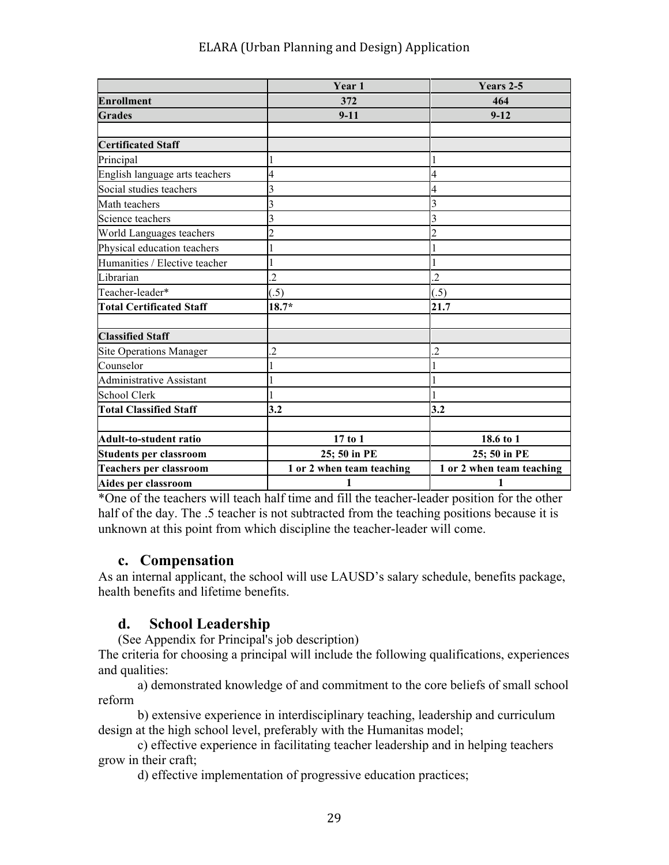|                                 | Year 1                    | Years 2-5                 |  |
|---------------------------------|---------------------------|---------------------------|--|
| <b>Enrollment</b>               | 372                       | 464                       |  |
| <b>Grades</b>                   | $9-11$                    | $9 - 12$                  |  |
|                                 |                           |                           |  |
| <b>Certificated Staff</b>       |                           |                           |  |
| Principal                       |                           |                           |  |
| English language arts teachers  | 4                         | 4                         |  |
| Social studies teachers         | 3                         | 4                         |  |
| Math teachers                   | 3                         | 3                         |  |
| Science teachers                | 3                         | 3                         |  |
| World Languages teachers        | 2                         |                           |  |
| Physical education teachers     |                           |                           |  |
| Humanities / Elective teacher   |                           |                           |  |
| Librarian                       | $\overline{2}$            | $\overline{2}$            |  |
| Teacher-leader*                 | (.5)                      | (.5)                      |  |
| <b>Total Certificated Staff</b> | $18.7*$                   | 21.7                      |  |
| <b>Classified Staff</b>         |                           |                           |  |
| <b>Site Operations Manager</b>  | $\overline{2}$            | $\overline{2}$            |  |
| Counselor                       |                           |                           |  |
| <b>Administrative Assistant</b> |                           |                           |  |
| <b>School Clerk</b>             |                           |                           |  |
| <b>Total Classified Staff</b>   | 3.2                       | 3.2                       |  |
| <b>Adult-to-student ratio</b>   | 17 to 1                   | 18.6 to 1                 |  |
| <b>Students per classroom</b>   | 25; 50 in PE              | 25; 50 in PE              |  |
| <b>Teachers per classroom</b>   | 1 or 2 when team teaching | 1 or 2 when team teaching |  |
| Aides per classroom             | $\mathbf{1}$              | $\mathbf{1}$              |  |

\*One of the teachers will teach half time and fill the teacher-leader position for the other half of the day. The .5 teacher is not subtracted from the teaching positions because it is unknown at this point from which discipline the teacher-leader will come.

### **c. Compensation**

As an internal applicant, the school will use LAUSD's salary schedule, benefits package, health benefits and lifetime benefits.

## **d. School Leadership**

(See Appendix for Principal's job description)

The criteria for choosing a principal will include the following qualifications, experiences and qualities:

a) demonstrated knowledge of and commitment to the core beliefs of small school reform

b) extensive experience in interdisciplinary teaching, leadership and curriculum design at the high school level, preferably with the Humanitas model;

 c) effective experience in facilitating teacher leadership and in helping teachers grow in their craft;

d) effective implementation of progressive education practices;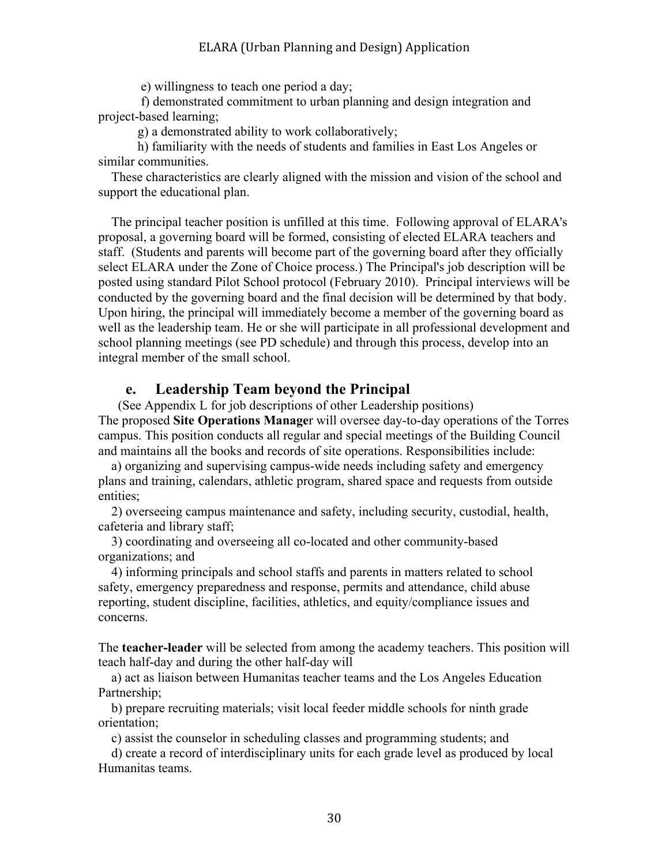e) willingness to teach one period a day;

 f) demonstrated commitment to urban planning and design integration and project-based learning;

g) a demonstrated ability to work collaboratively;

 h) familiarity with the needs of students and families in East Los Angeles or similar communities.

 These characteristics are clearly aligned with the mission and vision of the school and support the educational plan.

 The principal teacher position is unfilled at this time. Following approval of ELARA's proposal, a governing board will be formed, consisting of elected ELARA teachers and staff. (Students and parents will become part of the governing board after they officially select ELARA under the Zone of Choice process.) The Principal's job description will be posted using standard Pilot School protocol (February 2010). Principal interviews will be conducted by the governing board and the final decision will be determined by that body. Upon hiring, the principal will immediately become a member of the governing board as well as the leadership team. He or she will participate in all professional development and school planning meetings (see PD schedule) and through this process, develop into an integral member of the small school.

### **e. Leadership Team beyond the Principal**

(See Appendix L for job descriptions of other Leadership positions) The proposed **Site Operations Manage**r will oversee day-to-day operations of the Torres campus. This position conducts all regular and special meetings of the Building Council and maintains all the books and records of site operations. Responsibilities include:

 a) organizing and supervising campus-wide needs including safety and emergency plans and training, calendars, athletic program, shared space and requests from outside entities;

 2) overseeing campus maintenance and safety, including security, custodial, health, cafeteria and library staff;

 3) coordinating and overseeing all co-located and other community-based organizations; and

 4) informing principals and school staffs and parents in matters related to school safety, emergency preparedness and response, permits and attendance, child abuse reporting, student discipline, facilities, athletics, and equity/compliance issues and concerns.

The **teacher-leader** will be selected from among the academy teachers. This position will teach half-day and during the other half-day will

 a) act as liaison between Humanitas teacher teams and the Los Angeles Education Partnership;

 b) prepare recruiting materials; visit local feeder middle schools for ninth grade orientation;

c) assist the counselor in scheduling classes and programming students; and

 d) create a record of interdisciplinary units for each grade level as produced by local Humanitas teams.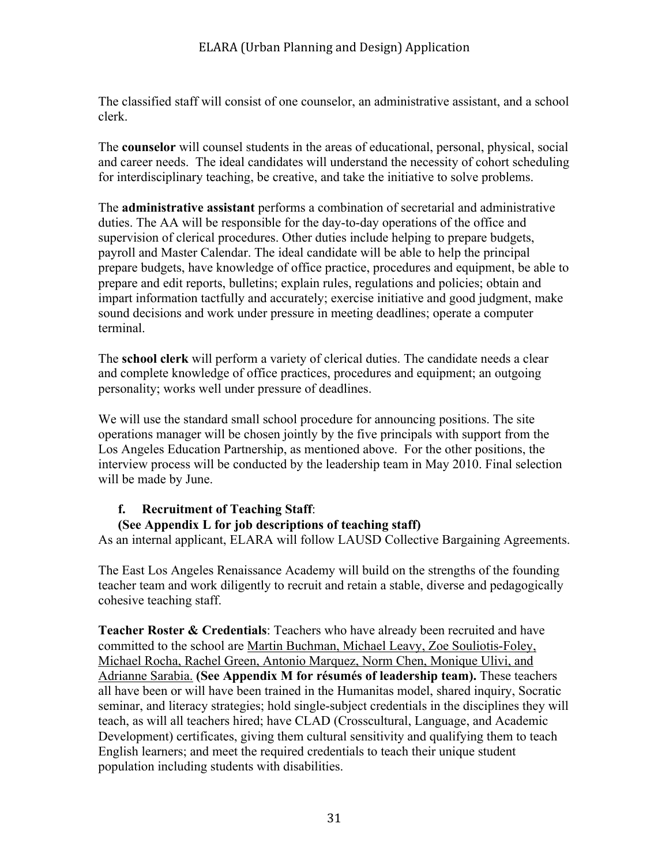The classified staff will consist of one counselor, an administrative assistant, and a school clerk.

The **counselor** will counsel students in the areas of educational, personal, physical, social and career needs. The ideal candidates will understand the necessity of cohort scheduling for interdisciplinary teaching, be creative, and take the initiative to solve problems.

The **administrative assistant** performs a combination of secretarial and administrative duties. The AA will be responsible for the day-to-day operations of the office and supervision of clerical procedures. Other duties include helping to prepare budgets, payroll and Master Calendar. The ideal candidate will be able to help the principal prepare budgets, have knowledge of office practice, procedures and equipment, be able to prepare and edit reports, bulletins; explain rules, regulations and policies; obtain and impart information tactfully and accurately; exercise initiative and good judgment, make sound decisions and work under pressure in meeting deadlines; operate a computer terminal.

The **school clerk** will perform a variety of clerical duties. The candidate needs a clear and complete knowledge of office practices, procedures and equipment; an outgoing personality; works well under pressure of deadlines.

We will use the standard small school procedure for announcing positions. The site operations manager will be chosen jointly by the five principals with support from the Los Angeles Education Partnership, as mentioned above. For the other positions, the interview process will be conducted by the leadership team in May 2010. Final selection will be made by June.

#### **f. Recruitment of Teaching Staff**:

#### **(See Appendix L for job descriptions of teaching staff)**

As an internal applicant, ELARA will follow LAUSD Collective Bargaining Agreements.

The East Los Angeles Renaissance Academy will build on the strengths of the founding teacher team and work diligently to recruit and retain a stable, diverse and pedagogically cohesive teaching staff.

**Teacher Roster & Credentials**: Teachers who have already been recruited and have committed to the school are Martin Buchman, Michael Leavy, Zoe Souliotis-Foley, Michael Rocha, Rachel Green, Antonio Marquez, Norm Chen, Monique Ulivi, and Adrianne Sarabia. **(See Appendix M for résumés of leadership team).** These teachers all have been or will have been trained in the Humanitas model, shared inquiry, Socratic seminar, and literacy strategies; hold single-subject credentials in the disciplines they will teach, as will all teachers hired; have CLAD (Crosscultural, Language, and Academic Development) certificates, giving them cultural sensitivity and qualifying them to teach English learners; and meet the required credentials to teach their unique student population including students with disabilities.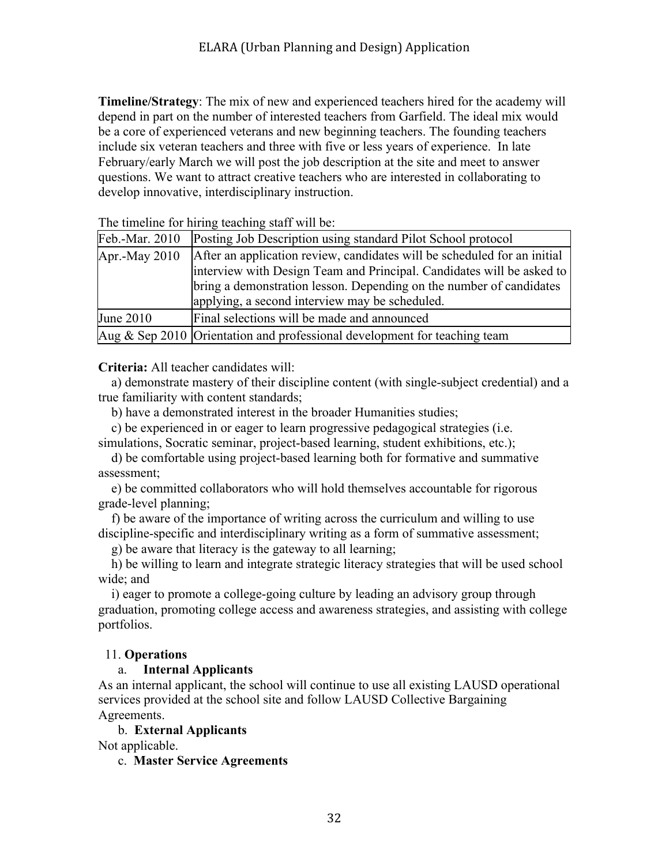**Timeline/Strategy**: The mix of new and experienced teachers hired for the academy will depend in part on the number of interested teachers from Garfield. The ideal mix would be a core of experienced veterans and new beginning teachers. The founding teachers include six veteran teachers and three with five or less years of experience. In late February/early March we will post the job description at the site and meet to answer questions. We want to attract creative teachers who are interested in collaborating to develop innovative, interdisciplinary instruction.

| The unicine for infing teaching start will be. |                                                                              |  |  |  |
|------------------------------------------------|------------------------------------------------------------------------------|--|--|--|
| Feb.-Mar. 2010                                 | Posting Job Description using standard Pilot School protocol                 |  |  |  |
| Apr.-May 2010                                  | After an application review, candidates will be scheduled for an initial     |  |  |  |
|                                                | interview with Design Team and Principal. Candidates will be asked to        |  |  |  |
|                                                | bring a demonstration lesson. Depending on the number of candidates          |  |  |  |
|                                                | applying, a second interview may be scheduled.                               |  |  |  |
| June 2010                                      | Final selections will be made and announced                                  |  |  |  |
|                                                | Aug $\&$ Sep 2010 Orientation and professional development for teaching team |  |  |  |

The timeline for hiring teaching staff will be:

**Criteria:** All teacher candidates will:

 a) demonstrate mastery of their discipline content (with single-subject credential) and a true familiarity with content standards;

b) have a demonstrated interest in the broader Humanities studies;

c) be experienced in or eager to learn progressive pedagogical strategies (i.e.

simulations, Socratic seminar, project-based learning, student exhibitions, etc.);

 d) be comfortable using project-based learning both for formative and summative assessment;

 e) be committed collaborators who will hold themselves accountable for rigorous grade-level planning;

 f) be aware of the importance of writing across the curriculum and willing to use discipline-specific and interdisciplinary writing as a form of summative assessment;

g) be aware that literacy is the gateway to all learning;

 h) be willing to learn and integrate strategic literacy strategies that will be used school wide; and

 i) eager to promote a college-going culture by leading an advisory group through graduation, promoting college access and awareness strategies, and assisting with college portfolios.

#### 11. **Operations**

#### a. **Internal Applicants**

As an internal applicant, the school will continue to use all existing LAUSD operational services provided at the school site and follow LAUSD Collective Bargaining Agreements.

b. **External Applicants**

Not applicable.

c. **Master Service Agreements**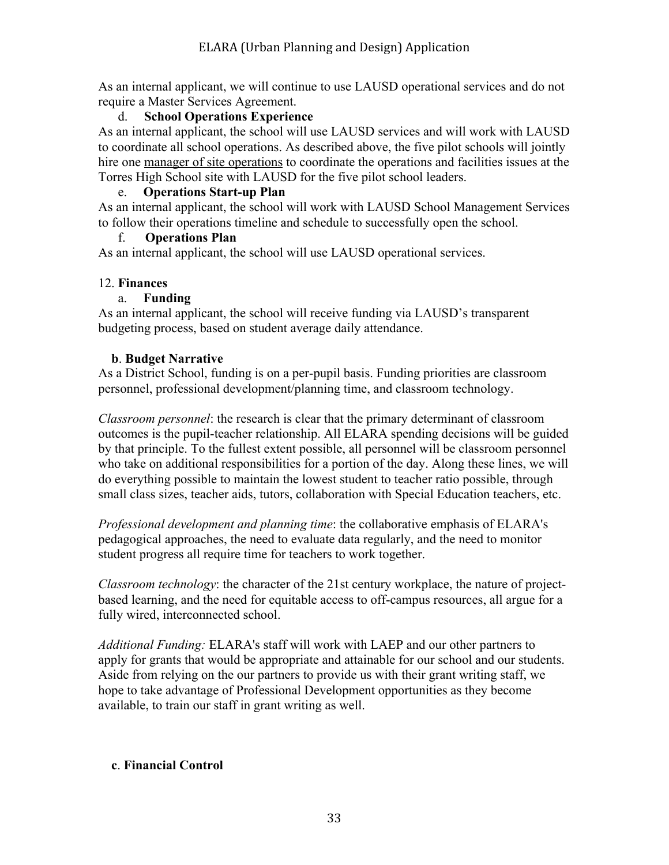As an internal applicant, we will continue to use LAUSD operational services and do not require a Master Services Agreement.

### d. **School Operations Experience**

As an internal applicant, the school will use LAUSD services and will work with LAUSD to coordinate all school operations. As described above, the five pilot schools will jointly hire one manager of site operations to coordinate the operations and facilities issues at the Torres High School site with LAUSD for the five pilot school leaders.

#### e. **Operations Start-up Plan**

As an internal applicant, the school will work with LAUSD School Management Services to follow their operations timeline and schedule to successfully open the school.

### f. **Operations Plan**

As an internal applicant, the school will use LAUSD operational services.

### 12. **Finances**

### a. **Funding**

As an internal applicant, the school will receive funding via LAUSD's transparent budgeting process, based on student average daily attendance.

### **b**. **Budget Narrative**

As a District School, funding is on a per-pupil basis. Funding priorities are classroom personnel, professional development/planning time, and classroom technology.

*Classroom personnel*: the research is clear that the primary determinant of classroom outcomes is the pupil-teacher relationship. All ELARA spending decisions will be guided by that principle. To the fullest extent possible, all personnel will be classroom personnel who take on additional responsibilities for a portion of the day. Along these lines, we will do everything possible to maintain the lowest student to teacher ratio possible, through small class sizes, teacher aids, tutors, collaboration with Special Education teachers, etc.

*Professional development and planning time*: the collaborative emphasis of ELARA's pedagogical approaches, the need to evaluate data regularly, and the need to monitor student progress all require time for teachers to work together.

*Classroom technology*: the character of the 21st century workplace, the nature of projectbased learning, and the need for equitable access to off-campus resources, all argue for a fully wired, interconnected school.

*Additional Funding:* ELARA's staff will work with LAEP and our other partners to apply for grants that would be appropriate and attainable for our school and our students. Aside from relying on the our partners to provide us with their grant writing staff, we hope to take advantage of Professional Development opportunities as they become available, to train our staff in grant writing as well.

### **c**. **Financial Control**